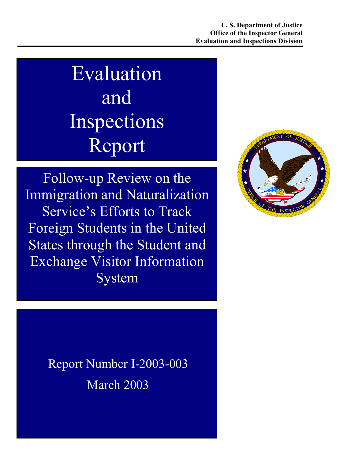# Evaluation and Inspections Report

Follow-up Review on the Immigration and Naturalization Service's Efforts to Track Foreign Students in the United States through the Student and Exchange Visitor Information System



Report Number I-2003-003 March 2003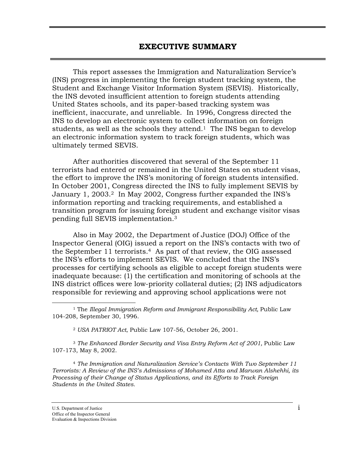This report assesses the Immigration and Naturalization Service's (INS) progress in implementing the foreign student tracking system, the Student and Exchange Visitor Information System (SEVIS). Historically, the INS devoted insufficient attention to foreign students attending United States schools, and its paper-based tracking system was inefficient, inaccurate, and unreliable. In 1996, Congress directed the INS to develop an electronic system to collect information on foreign students, as well as the schools they attend.<sup>1</sup> The INS began to develop an electronic information system to track foreign students, which was ultimately termed SEVIS.

After authorities discovered that several of the September 11 terrorists had entered or remained in the United States on student visas, the effort to improve the INS's monitoring of foreign students intensified. In October 2001, Congress directed the INS to fully implement SEVIS by January 1, 2003.<sup>2</sup> In May 2002, Congress further expanded the INS's information reporting and tracking requirements, and established a transition program for issuing foreign student and exchange visitor visas pending full SEVIS implementation.[3](#page-1-2) 

Also in May 2002, the Department of Justice (DOJ) Office of the Inspector General (OIG) issued a report on the INS's contacts with two of the September 11 terrorists.[4](#page-1-3) As part of that review, the OIG assessed the INS's efforts to implement SEVIS. We concluded that the INS's processes for certifying schools as eligible to accept foreign students were inadequate because: (1) the certification and monitoring of schools at the INS district offices were low-priority collateral duties; (2) INS adjudicators responsible for reviewing and approving school applications were not

<sup>3</sup> *The Enhanced Border Security and Visa Entry Reform Act of 2001,* Public Law 107-173, May 8, 2002.

<span id="page-1-3"></span><sup>4</sup> *The Immigration and Naturalization Service's Contacts With Two September 11 Terrorists: A Review of the INS's Admissions of Mohamed Atta and Marwan Alshehhi, its Processing of their Change of Status Applications, and its Efforts to Track Foreign Students in the United States.*

1

<span id="page-1-0"></span><sup>1</sup> The *Illegal Immigration Reform and Immigrant Responsibility Act,* Public Law 104-208, September 30, 1996.

<span id="page-1-2"></span><span id="page-1-1"></span><sup>2</sup> *USA PATRIOT Act*, Public Law 107-56, October 26, 2001.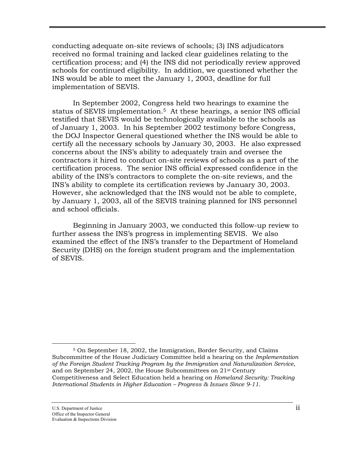conducting adequate on-site reviews of schools; (3) INS adjudicators received no formal training and lacked clear guidelines relating to the certification process; and (4) the INS did not periodically review approved schools for continued eligibility. In addition, we questioned whether the INS would be able to meet the January 1, 2003, deadline for full implementation of SEVIS.

In September 2002, Congress held two hearings to examine the status of SEVIS implementation.<sup>5</sup> At these hearings, a senior INS official testified that SEVIS would be technologically available to the schools as of January 1, 2003. In his September 2002 testimony before Congress, the DOJ Inspector General questioned whether the INS would be able to certify all the necessary schools by January 30, 2003. He also expressed concerns about the INS's ability to adequately train and oversee the contractors it hired to conduct on-site reviews of schools as a part of the certification process. The senior INS official expressed confidence in the ability of the INS's contractors to complete the on-site reviews, and the INS's ability to complete its certification reviews by January 30, 2003. However, she acknowledged that the INS would not be able to complete, by January 1, 2003, all of the SEVIS training planned for INS personnel and school officials.

Beginning in January 2003, we conducted this follow-up review to further assess the INS's progress in implementing SEVIS. We also examined the effect of the INS's transfer to the Department of Homeland Security (DHS) on the foreign student program and the implementation of SEVIS.

<span id="page-2-0"></span> $\overline{a}$ 5 On September 18, 2002, the Immigration, Border Security, and Claims Subcommittee of the House Judiciary Committee held a hearing on the *Implementation of the Foreign Student Tracking Program by the Immigration and Naturalization Service*, and on September 24, 2002, the House Subcommittees on 21st Century Competitiveness and Select Education held a hearing on *Homeland Security: Tracking International Students in Higher Education – Progress & Issues Since 9-11*.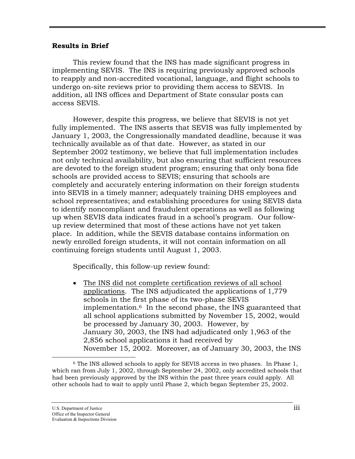#### **Results in Brief**

This review found that the INS has made significant progress in implementing SEVIS. The INS is requiring previously approved schools to reapply and non-accredited vocational, language, and flight schools to undergo on-site reviews prior to providing them access to SEVIS. In addition, all INS offices and Department of State consular posts can access SEVIS.

However, despite this progress, we believe that SEVIS is not yet fully implemented. The INS asserts that SEVIS was fully implemented by January 1, 2003, the Congressionally mandated deadline, because it was technically available as of that date. However, as stated in our September 2002 testimony, we believe that full implementation includes not only technical availability, but also ensuring that sufficient resources are devoted to the foreign student program; ensuring that only bona fide schools are provided access to SEVIS; ensuring that schools are completely and accurately entering information on their foreign students into SEVIS in a timely manner; adequately training DHS employees and school representatives; and establishing procedures for using SEVIS data to identify noncompliant and fraudulent operations as well as following up when SEVIS data indicates fraud in a school's program. Our followup review determined that most of these actions have not yet taken place. In addition, while the SEVIS database contains information on newly enrolled foreign students, it will not contain information on all continuing foreign students until August 1, 2003.

Specifically, this follow-up review found:

• The INS did not complete certification reviews of all school applications. The INS adjudicated the applications of 1,779 schools in the first phase of its two-phase SEVIS implementation.[6](#page-3-0) In the second phase, the INS guaranteed that all school applications submitted by November 15, 2002, would be processed by January 30, 2003. However, by January 30, 2003, the INS had adjudicated only 1,963 of the 2,856 school applications it had received by November 15, 2002. Moreover, as of January 30, 2003, the INS

 $\overline{a}$ 

<span id="page-3-0"></span><sup>6</sup> The INS allowed schools to apply for SEVIS access in two phases. In Phase 1, which ran from July 1, 2002, through September 24, 2002, only accredited schools that had been previously approved by the INS within the past three years could apply. All other schools had to wait to apply until Phase 2, which began September 25, 2002.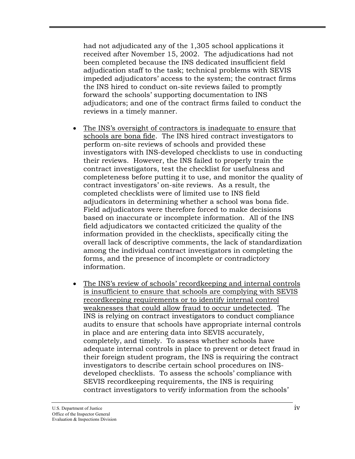had not adjudicated any of the 1,305 school applications it received after November 15, 2002. The adjudications had not been completed because the INS dedicated insufficient field adjudication staff to the task; technical problems with SEVIS impeded adjudicators' access to the system; the contract firms the INS hired to conduct on-site reviews failed to promptly forward the schools' supporting documentation to INS adjudicators; and one of the contract firms failed to conduct the reviews in a timely manner.

- The INS's oversight of contractors is inadequate to ensure that schools are bona fide. The INS hired contract investigators to perform on-site reviews of schools and provided these investigators with INS-developed checklists to use in conducting their reviews. However, the INS failed to properly train the contract investigators, test the checklist for usefulness and completeness before putting it to use, and monitor the quality of contract investigators' on-site reviews. As a result, the completed checklists were of limited use to INS field adjudicators in determining whether a school was bona fide. Field adjudicators were therefore forced to make decisions based on inaccurate or incomplete information. All of the INS field adjudicators we contacted criticized the quality of the information provided in the checklists, specifically citing the overall lack of descriptive comments, the lack of standardization among the individual contract investigators in completing the forms, and the presence of incomplete or contradictory information.
- The INS's review of schools' recordkeeping and internal controls is insufficient to ensure that schools are complying with SEVIS recordkeeping requirements or to identify internal control weaknesses that could allow fraud to occur undetected. The INS is relying on contract investigators to conduct compliance audits to ensure that schools have appropriate internal controls in place and are entering data into SEVIS accurately, completely, and timely. To assess whether schools have adequate internal controls in place to prevent or detect fraud in their foreign student program, the INS is requiring the contract investigators to describe certain school procedures on INSdeveloped checklists. To assess the schools' compliance with SEVIS recordkeeping requirements, the INS is requiring contract investigators to verify information from the schools'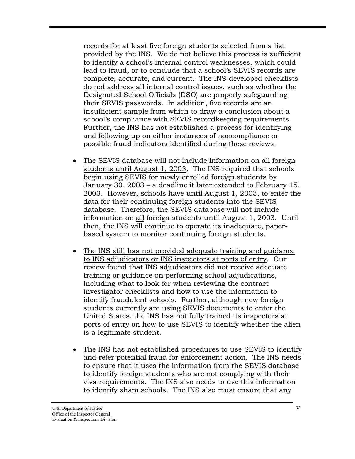records for at least five foreign students selected from a list provided by the INS. We do not believe this process is sufficient to identify a school's internal control weaknesses, which could lead to fraud, or to conclude that a school's SEVIS records are complete, accurate, and current. The INS-developed checklists do not address all internal control issues, such as whether the Designated School Officials (DSO) are properly safeguarding their SEVIS passwords. In addition, five records are an insufficient sample from which to draw a conclusion about a school's compliance with SEVIS recordkeeping requirements. Further, the INS has not established a process for identifying and following up on either instances of noncompliance or possible fraud indicators identified during these reviews.

- The SEVIS database will not include information on all foreign students until August 1, 2003. The INS required that schools begin using SEVIS for newly enrolled foreign students by January 30, 2003 – a deadline it later extended to February 15, 2003. However, schools have until August 1, 2003, to enter the data for their continuing foreign students into the SEVIS database. Therefore, the SEVIS database will not include information on all foreign students until August 1, 2003. Until then, the INS will continue to operate its inadequate, paperbased system to monitor continuing foreign students.
- The INS still has not provided adequate training and guidance to INS adjudicators or INS inspectors at ports of entry. Our review found that INS adjudicators did not receive adequate training or guidance on performing school adjudications, including what to look for when reviewing the contract investigator checklists and how to use the information to identify fraudulent schools. Further, although new foreign students currently are using SEVIS documents to enter the United States, the INS has not fully trained its inspectors at ports of entry on how to use SEVIS to identify whether the alien is a legitimate student.
- The INS has not established procedures to use SEVIS to identify and refer potential fraud for enforcement action. The INS needs to ensure that it uses the information from the SEVIS database to identify foreign students who are not complying with their visa requirements. The INS also needs to use this information to identify sham schools. The INS also must ensure that any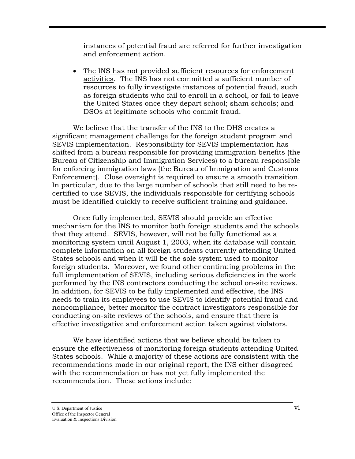instances of potential fraud are referred for further investigation and enforcement action.

• The INS has not provided sufficient resources for enforcement activities. The INS has not committed a sufficient number of resources to fully investigate instances of potential fraud, such as foreign students who fail to enroll in a school, or fail to leave the United States once they depart school; sham schools; and DSOs at legitimate schools who commit fraud.

We believe that the transfer of the INS to the DHS creates a significant management challenge for the foreign student program and SEVIS implementation. Responsibility for SEVIS implementation has shifted from a bureau responsible for providing immigration benefits (the Bureau of Citizenship and Immigration Services) to a bureau responsible for enforcing immigration laws (the Bureau of Immigration and Customs Enforcement). Close oversight is required to ensure a smooth transition. In particular, due to the large number of schools that still need to be recertified to use SEVIS, the individuals responsible for certifying schools must be identified quickly to receive sufficient training and guidance.

Once fully implemented, SEVIS should provide an effective mechanism for the INS to monitor both foreign students and the schools that they attend. SEVIS, however, will not be fully functional as a monitoring system until August 1, 2003, when its database will contain complete information on all foreign students currently attending United States schools and when it will be the sole system used to monitor foreign students. Moreover, we found other continuing problems in the full implementation of SEVIS, including serious deficiencies in the work performed by the INS contractors conducting the school on-site reviews. In addition, for SEVIS to be fully implemented and effective, the INS needs to train its employees to use SEVIS to identify potential fraud and noncompliance, better monitor the contract investigators responsible for conducting on-site reviews of the schools, and ensure that there is effective investigative and enforcement action taken against violators.

We have identified actions that we believe should be taken to ensure the effectiveness of monitoring foreign students attending United States schools. While a majority of these actions are consistent with the recommendations made in our original report, the INS either disagreed with the recommendation or has not yet fully implemented the recommendation. These actions include: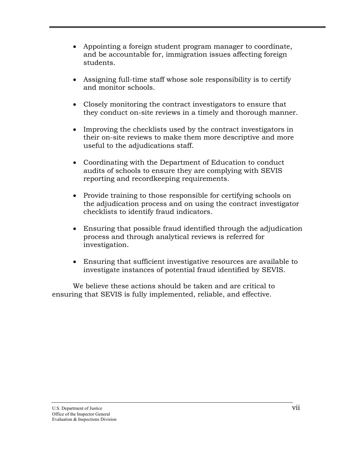- Appointing a foreign student program manager to coordinate, and be accountable for, immigration issues affecting foreign students.
- Assigning full-time staff whose sole responsibility is to certify and monitor schools.
- Closely monitoring the contract investigators to ensure that they conduct on-site reviews in a timely and thorough manner.
- Improving the checklists used by the contract investigators in their on-site reviews to make them more descriptive and more useful to the adjudications staff.
- Coordinating with the Department of Education to conduct audits of schools to ensure they are complying with SEVIS reporting and recordkeeping requirements.
- Provide training to those responsible for certifying schools on the adjudication process and on using the contract investigator checklists to identify fraud indicators.
- Ensuring that possible fraud identified through the adjudication process and through analytical reviews is referred for investigation.
- Ensuring that sufficient investigative resources are available to investigate instances of potential fraud identified by SEVIS.

We believe these actions should be taken and are critical to ensuring that SEVIS is fully implemented, reliable, and effective.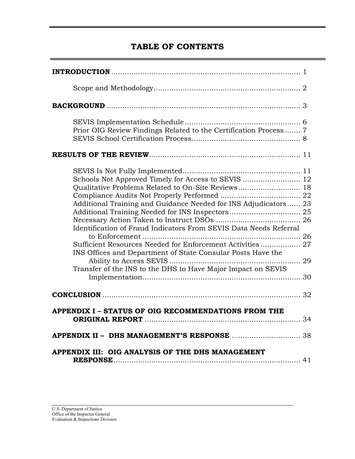# **TABLE OF CONTENTS**

| Prior OIG Review Findings Related to the Certification Process 7                                                                                                                                                                                                                                                                                                                       |
|----------------------------------------------------------------------------------------------------------------------------------------------------------------------------------------------------------------------------------------------------------------------------------------------------------------------------------------------------------------------------------------|
|                                                                                                                                                                                                                                                                                                                                                                                        |
| Qualitative Problems Related to On-Site Reviews 18<br>Additional Training and Guidance Needed for INS Adjudicators 23<br>Identification of Fraud Indicators From SEVIS Data Needs Referral<br>Sufficient Resources Needed for Enforcement Activities 27<br>INS Offices and Department of State Consular Posts Have the<br>Transfer of the INS to the DHS to Have Major Impact on SEVIS |
|                                                                                                                                                                                                                                                                                                                                                                                        |
| APPENDIX I - STATUS OF OIG RECOMMENDATIONS FROM THE                                                                                                                                                                                                                                                                                                                                    |
|                                                                                                                                                                                                                                                                                                                                                                                        |
| APPENDIX III: OIG ANALYSIS OF THE DHS MANAGEMENT                                                                                                                                                                                                                                                                                                                                       |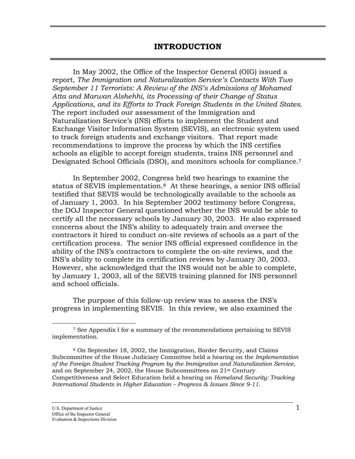#### **INTRODUCTION**

In May 2002, the Office of the Inspector General (OIG) issued a report, *The Immigration and Naturalization Service's Contacts With Two September 11 Terrorists: A Review of the INS's Admissions of Mohamed Atta and Marwan Alshehhi, its Processing of their Change of Status Applications, and its Efforts to Track Foreign Students in the United States*. The report included our assessment of the Immigration and Naturalization Service's (INS) efforts to implement the Student and Exchange Visitor Information System (SEVIS), an electronic system used to track foreign students and exchange visitors. That report made recommendations to improve the process by which the INS certifies schools as eligible to accept foreign students, trains INS personnel and Designated School Officials (DSO), and monitors schools for compliance.[7](#page-9-0) 

In September 2002, Congress held two hearings to examine the status of SEVIS implementation.[8](#page-9-1) At these hearings, a senior INS official testified that SEVIS would be technologically available to the schools as of January 1, 2003. In his September 2002 testimony before Congress, the DOJ Inspector General questioned whether the INS would be able to certify all the necessary schools by January 30, 2003. He also expressed concerns about the INS's ability to adequately train and oversee the contractors it hired to conduct on-site reviews of schools as a part of the certification process. The senior INS official expressed confidence in the ability of the INS's contractors to complete the on-site reviews, and the INS's ability to complete its certification reviews by January 30, 2003. However, she acknowledged that the INS would not be able to complete, by January 1, 2003, all of the SEVIS training planned for INS personnel and school officials.

The purpose of this follow-up review was to assess the INS's progress in implementing SEVIS. In this review, we also examined the

<span id="page-9-0"></span> $\overline{a}$ 

<sup>7</sup> See Appendix I for a summary of the recommendations pertaining to SEVIS implementation.

<span id="page-9-1"></span><sup>8</sup> On September 18, 2002, the Immigration, Border Security, and Claims Subcommittee of the House Judiciary Committee held a hearing on the *Implementation of the Foreign Student Tracking Program by the Immigration and Naturalization Service*, and on September 24, 2002, the House Subcommittees on 21st Century Competitiveness and Select Education held a hearing on *Homeland Security: Tracking International Students in Higher Education – Progress & Issues Since 9-11*.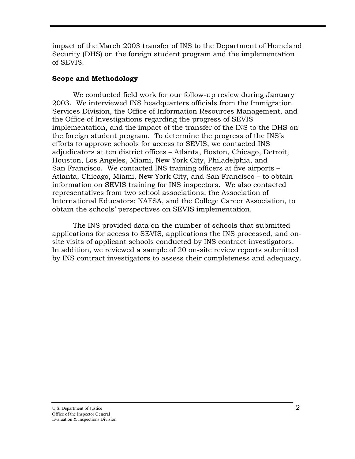impact of the March 2003 transfer of INS to the Department of Homeland Security (DHS) on the foreign student program and the implementation of SEVIS.

#### **Scope and Methodology**

We conducted field work for our follow-up review during January 2003. We interviewed INS headquarters officials from the Immigration Services Division, the Office of Information Resources Management, and the Office of Investigations regarding the progress of SEVIS implementation, and the impact of the transfer of the INS to the DHS on the foreign student program. To determine the progress of the INS's efforts to approve schools for access to SEVIS, we contacted INS adjudicators at ten district offices – Atlanta, Boston, Chicago, Detroit, Houston, Los Angeles, Miami, New York City, Philadelphia, and San Francisco. We contacted INS training officers at five airports – Atlanta, Chicago, Miami, New York City, and San Francisco – to obtain information on SEVIS training for INS inspectors. We also contacted representatives from two school associations, the Association of International Educators: NAFSA, and the College Career Association, to obtain the schools' perspectives on SEVIS implementation.

The INS provided data on the number of schools that submitted applications for access to SEVIS, applications the INS processed, and onsite visits of applicant schools conducted by INS contract investigators. In addition, we reviewed a sample of 20 on-site review reports submitted by INS contract investigators to assess their completeness and adequacy.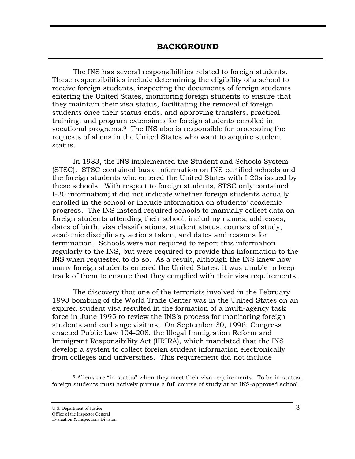#### **BACKGROUND**

The INS has several responsibilities related to foreign students. These responsibilities include determining the eligibility of a school to receive foreign students, inspecting the documents of foreign students entering the United States, monitoring foreign students to ensure that they maintain their visa status, facilitating the removal of foreign students once their status ends, and approving transfers, practical training, and program extensions for foreign students enrolled in vocational programs.[9](#page-11-0) The INS also is responsible for processing the requests of aliens in the United States who want to acquire student status.

In 1983, the INS implemented the Student and Schools System (STSC). STSC contained basic information on INS-certified schools and the foreign students who entered the United States with I-20s issued by these schools. With respect to foreign students, STSC only contained I-20 information; it did not indicate whether foreign students actually enrolled in the school or include information on students' academic progress. The INS instead required schools to manually collect data on foreign students attending their school, including names, addresses, dates of birth, visa classifications, student status, courses of study, academic disciplinary actions taken, and dates and reasons for termination. Schools were not required to report this information regularly to the INS, but were required to provide this information to the INS when requested to do so. As a result, although the INS knew how many foreign students entered the United States, it was unable to keep track of them to ensure that they complied with their visa requirements.

The discovery that one of the terrorists involved in the February 1993 bombing of the World Trade Center was in the United States on an expired student visa resulted in the formation of a multi-agency task force in June 1995 to review the INS's process for monitoring foreign students and exchange visitors. On September 30, 1996, Congress enacted Public Law 104-208, the Illegal Immigration Reform and Immigrant Responsibility Act (IIRIRA), which mandated that the INS develop a system to collect foreign student information electronically from colleges and universities. This requirement did not include

 $\overline{a}$ 

<span id="page-11-0"></span><sup>9</sup> Aliens are "in-status" when they meet their visa requirements. To be in-status, foreign students must actively pursue a full course of study at an INS-approved school.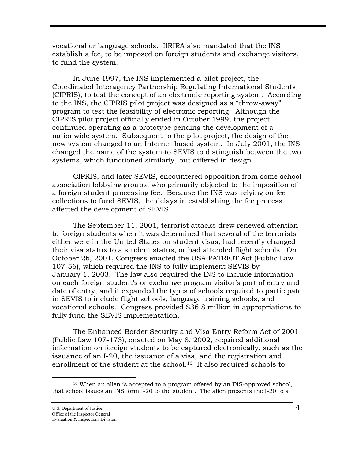<span id="page-12-0"></span>vocational or language schools. IIRIRA also mandated that the INS establish a fee, to be imposed on foreign students and exchange visitors, to fund the system.

In June 1997, the INS implemented a pilot project, the Coordinated Interagency Partnership Regulating International Students (CIPRIS), to test the concept of an electronic reporting system. According to the INS, the CIPRIS pilot project was designed as a "throw-away" program to test the feasibility of electronic reporting. Although the CIPRIS pilot project officially ended in October 1999, the project continued operating as a prototype pending the development of a nationwide system. Subsequent to the pilot project, the design of the new system changed to an Internet-based system. In July 2001, the INS changed the name of the system to SEVIS to distinguish between the two systems, which functioned similarly, but differed in design.

CIPRIS, and later SEVIS, encountered opposition from some school association lobbying groups, who primarily objected to the imposition of a foreign student processing fee. Because the INS was relying on fee collections to fund SEVIS, the delays in establishing the fee process affected the development of SEVIS.

 The September 11, 2001, terrorist attacks drew renewed attention to foreign students when it was determined that several of the terrorists either were in the United States on student visas, had recently changed their visa status to a student status, or had attended flight schools. On October 26, 2001, Congress enacted the USA PATRIOT Act (Public Law 107-56), which required the INS to fully implement SEVIS by January 1, 2003. The law also required the INS to include information on each foreign student's or exchange program visitor's port of entry and date of entry, and it expanded the types of schools required to participate in SEVIS to include flight schools, language training schools, and vocational schools. Congress provided \$36.8 million in appropriations to fully fund the SEVIS implementation.

The Enhanced Border Security and Visa Entry Reform Act of 2001 (Public Law 107-173), enacted on May 8, 2002, required additional information on foreign students to be captured electronically, such as the issuance of an I-20, the issuance of a visa, and the registration and enrollment of the student at the school.[10](#page-12-0) It also required schools to

 $\overline{a}$ 

<sup>10</sup> When an alien is accepted to a program offered by an INS-approved school, that school issues an INS form I-20 to the student. The alien presents the I-20 to a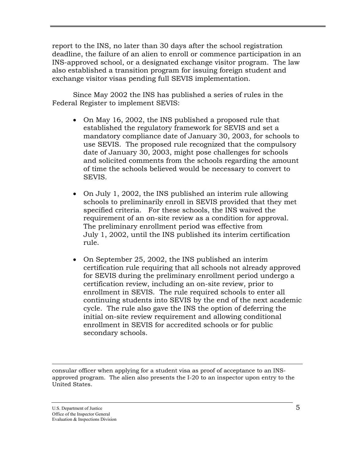report to the INS, no later than 30 days after the school registration deadline, the failure of an alien to enroll or commence participation in an INS-approved school, or a designated exchange visitor program. The law also established a transition program for issuing foreign student and exchange visitor visas pending full SEVIS implementation.

Since May 2002 the INS has published a series of rules in the Federal Register to implement SEVIS:

- On May 16, 2002, the INS published a proposed rule that established the regulatory framework for SEVIS and set a mandatory compliance date of January 30, 2003, for schools to use SEVIS. The proposed rule recognized that the compulsory date of January 30, 2003, might pose challenges for schools and solicited comments from the schools regarding the amount of time the schools believed would be necessary to convert to SEVIS.
- On July 1, 2002, the INS published an interim rule allowing schools to preliminarily enroll in SEVIS provided that they met specified criteria. For these schools, the INS waived the requirement of an on-site review as a condition for approval. The preliminary enrollment period was effective from July 1, 2002, until the INS published its interim certification rule.
- On September 25, 2002, the INS published an interim certification rule requiring that all schools not already approved for SEVIS during the preliminary enrollment period undergo a certification review, including an on-site review, prior to enrollment in SEVIS. The rule required schools to enter all continuing students into SEVIS by the end of the next academic cycle. The rule also gave the INS the option of deferring the initial on-site review requirement and allowing conditional enrollment in SEVIS for accredited schools or for public secondary schools.

 $\overline{a}$ consular officer when applying for a student visa as proof of acceptance to an INSapproved program. The alien also presents the I-20 to an inspector upon entry to the United States.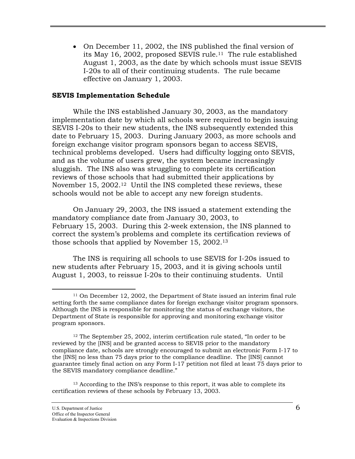• On December 11, 2002, the INS published the final version of its May 16, 2002, proposed SEVIS rule.<sup>11</sup> The rule established August 1, 2003, as the date by which schools must issue SEVIS I-20s to all of their continuing students. The rule became effective on January 1, 2003.

#### **SEVIS Implementation Schedule**

While the INS established January 30, 2003, as the mandatory implementation date by which all schools were required to begin issuing SEVIS I-20s to their new students, the INS subsequently extended this date to February 15, 2003. During January 2003, as more schools and foreign exchange visitor program sponsors began to access SEVIS, technical problems developed. Users had difficulty logging onto SEVIS, and as the volume of users grew, the system became increasingly sluggish. The INS also was struggling to complete its certification reviews of those schools that had submitted their applications by November 15, 2002[.12](#page-14-1) Until the INS completed these reviews, these schools would not be able to accept any new foreign students.

On January 29, 2003, the INS issued a statement extending the mandatory compliance date from January 30, 2003, to February 15, 2003. During this 2-week extension, the INS planned to correct the system's problems and complete its certification reviews of those schools that applied by November 15, 2002.[13](#page-14-2)

The INS is requiring all schools to use SEVIS for I-20s issued to new students after February 15, 2003, and it is giving schools until August 1, 2003, to reissue I-20s to their continuing students. Until

<span id="page-14-2"></span>13 According to the INS's response to this report, it was able to complete its certification reviews of these schools by February 13, 2003.

 $\overline{a}$ 

<span id="page-14-0"></span><sup>11</sup> On December 12, 2002, the Department of State issued an interim final rule setting forth the same compliance dates for foreign exchange visitor program sponsors. Although the INS is responsible for monitoring the status of exchange visitors, the Department of State is responsible for approving and monitoring exchange visitor program sponsors.

<span id="page-14-1"></span><sup>12</sup> The September 25, 2002, interim certification rule stated, "In order to be reviewed by the [INS] and be granted access to SEVIS prior to the mandatory compliance date, schools are strongly encouraged to submit an electronic Form I-17 to the [INS] no less than 75 days prior to the compliance deadline. The [INS] cannot guarantee timely final action on any Form I-17 petition not filed at least 75 days prior to the SEVIS mandatory compliance deadline."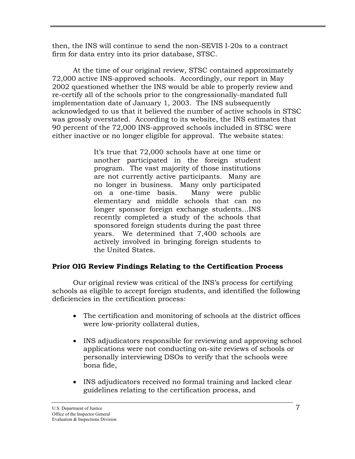then, the INS will continue to send the non-SEVIS I-20s to a contract firm for data entry into its prior database, STSC.

At the time of our original review, STSC contained approximately 72,000 active INS-approved schools. Accordingly, our report in May 2002 questioned whether the INS would be able to properly review and re-certify all of the schools prior to the congressionally-mandated full implementation date of January 1, 2003. The INS subsequently acknowledged to us that it believed the number of active schools in STSC was grossly overstated. According to its website, the INS estimates that 90 percent of the 72,000 INS-approved schools included in STSC were either inactive or no longer eligible for approval. The website states:

> It's true that 72,000 schools have at one time or another participated in the foreign student program. The vast majority of those institutions are not currently active participants. Many are no longer in business. Many only participated on a one-time basis. Many were public elementary and middle schools that can no longer sponsor foreign exchange students…INS recently completed a study of the schools that sponsored foreign students during the past three years. We determined that 7,400 schools are actively involved in bringing foreign students to the United States.

### **Prior OIG Review Findings Relating to the Certification Process**

Our original review was critical of the INS's process for certifying schools as eligible to accept foreign students, and identified the following deficiencies in the certification process:

- The certification and monitoring of schools at the district offices were low-priority collateral duties,
- INS adjudicators responsible for reviewing and approving school applications were not conducting on-site reviews of schools or personally interviewing DSOs to verify that the schools were bona fide,
- INS adjudicators received no formal training and lacked clear guidelines relating to the certification process, and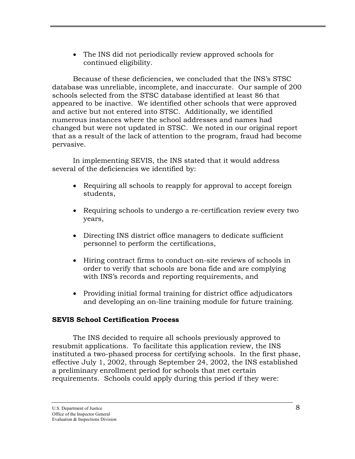• The INS did not periodically review approved schools for continued eligibility.

Because of these deficiencies, we concluded that the INS's STSC database was unreliable, incomplete, and inaccurate. Our sample of 200 schools selected from the STSC database identified at least 86 that appeared to be inactive. We identified other schools that were approved and active but not entered into STSC. Additionally, we identified numerous instances where the school addresses and names had changed but were not updated in STSC. We noted in our original report that as a result of the lack of attention to the program, fraud had become pervasive.

In implementing SEVIS, the INS stated that it would address several of the deficiencies we identified by:

- Requiring all schools to reapply for approval to accept foreign students,
- Requiring schools to undergo a re-certification review every two years,
- Directing INS district office managers to dedicate sufficient personnel to perform the certifications,
- Hiring contract firms to conduct on-site reviews of schools in order to verify that schools are bona fide and are complying with INS's records and reporting requirements, and
- Providing initial formal training for district office adjudicators and developing an on-line training module for future training.

#### **SEVIS School Certification Process**

The INS decided to require all schools previously approved to resubmit applications. To facilitate this application review, the INS instituted a two-phased process for certifying schools. In the first phase, effective July 1, 2002, through September 24, 2002, the INS established a preliminary enrollment period for schools that met certain requirements. Schools could apply during this period if they were: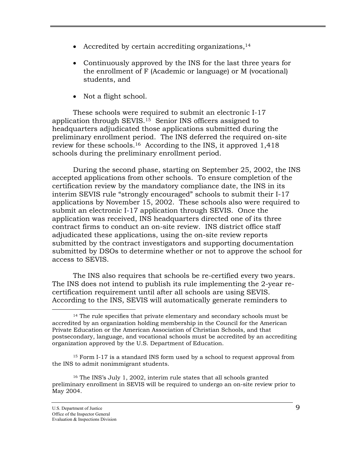- Accredited by certain accrediting organizations, $14$
- Continuously approved by the INS for the last three years for the enrollment of F (Academic or language) or M (vocational) students, and
- [No](#page-17-1)t a flight school.

These schools were required to submit an electronic I-17 application through SEVIS.15 Senior INS officers assigned to headquarters adjudicated those applications submitted during the preliminary enrollment period. The INS deferred the required on-site review for these schools.[16](#page-17-2) According to the INS, it approved 1,418 schools during the preliminary enrollment period.

During the second phase, starting on September 25, 2002, the INS accepted applications from other schools. To ensure completion of the certification review by the mandatory compliance date, the INS in its interim SEVIS rule "strongly encouraged" schools to submit their I-17 applications by November 15, 2002. These schools also were required to submit an electronic I-17 application through SEVIS. Once the application was received, INS headquarters directed one of its three contract firms to conduct an on-site review. INS district office staff adjudicated these applications, using the on-site review reports submitted by the contract investigators and supporting documentation submitted by DSOs to determine whether or not to approve the school for access to SEVIS.

The INS also requires that schools be re-certified every two years. The INS does not intend to publish its rule implementing the 2-year recertification requirement until after all schools are using SEVIS. According to the INS, SEVIS will automatically generate reminders to

<u>.</u>

<span id="page-17-0"></span><sup>14</sup> The rule specifies that private elementary and secondary schools must be accredited by an organization holding membership in the Council for the American Private Education or the American Association of Christian Schools, and that postsecondary, language, and vocational schools must be accredited by an accrediting organization approved by the U.S. Department of Education.

<span id="page-17-1"></span><sup>15</sup> Form I-17 is a standard INS form used by a school to request approval from the INS to admit nonimmigrant students.

<span id="page-17-2"></span><sup>16</sup> The INS's July 1, 2002, interim rule states that all schools granted preliminary enrollment in SEVIS will be required to undergo an on-site review prior to May 2004.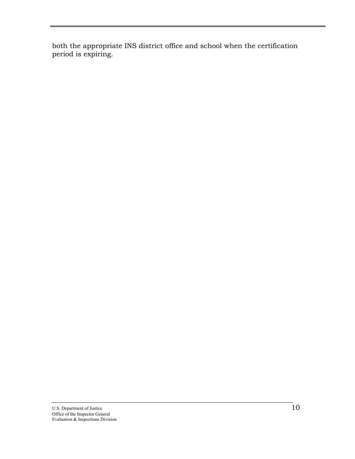both the appropriate INS district office and school when the certification period is expiring.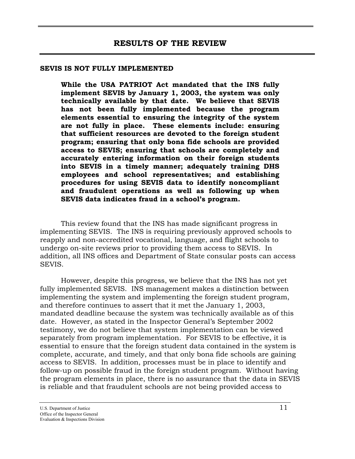#### **SEVIS IS NOT FULLY IMPLEMENTED**

**While the USA PATRIOT Act mandated that the INS fully implement SEVIS by January 1, 2003, the system was only technically available by that date. We believe that SEVIS has not been fully implemented because the program elements essential to ensuring the integrity of the system are not fully in place. These elements include: ensuring that sufficient resources are devoted to the foreign student program; ensuring that only bona fide schools are provided access to SEVIS; ensuring that schools are completely and accurately entering information on their foreign students into SEVIS in a timely manner; adequately training DHS employees and school representatives; and establishing procedures for using SEVIS data to identify noncompliant and fraudulent operations as well as following up when SEVIS data indicates fraud in a school's program.**

This review found that the INS has made significant progress in implementing SEVIS. The INS is requiring previously approved schools to reapply and non-accredited vocational, language, and flight schools to undergo on-site reviews prior to providing them access to SEVIS. In addition, all INS offices and Department of State consular posts can access SEVIS.

However, despite this progress, we believe that the INS has not yet fully implemented SEVIS. INS management makes a distinction between implementing the system and implementing the foreign student program, and therefore continues to assert that it met the January 1, 2003, mandated deadline because the system was technically available as of this date. However, as stated in the Inspector General's September 2002 testimony, we do not believe that system implementation can be viewed separately from program implementation. For SEVIS to be effective, it is essential to ensure that the foreign student data contained in the system is complete, accurate, and timely, and that only bona fide schools are gaining access to SEVIS. In addition, processes must be in place to identify and follow-up on possible fraud in the foreign student program. Without having the program elements in place, there is no assurance that the data in SEVIS is reliable and that fraudulent schools are not being provided access to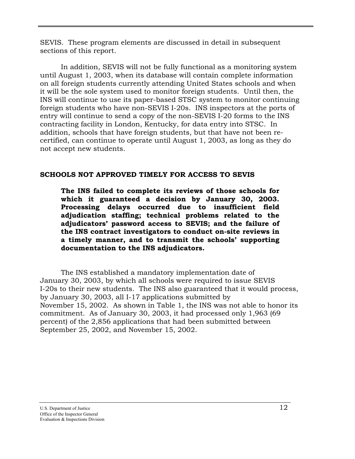SEVIS. These program elements are discussed in detail in subsequent sections of this report.

In addition, SEVIS will not be fully functional as a monitoring system until August 1, 2003, when its database will contain complete information on all foreign students currently attending United States schools and when it will be the sole system used to monitor foreign students. Until then, the INS will continue to use its paper-based STSC system to monitor continuing foreign students who have non-SEVIS I-20s. INS inspectors at the ports of entry will continue to send a copy of the non-SEVIS I-20 forms to the INS contracting facility in London, Kentucky, for data entry into STSC. In addition, schools that have foreign students, but that have not been recertified, can continue to operate until August 1, 2003, as long as they do not accept new students.

#### **SCHOOLS NOT APPROVED TIMELY FOR ACCESS TO SEVIS**

**The INS failed to complete its reviews of those schools for which it guaranteed a decision by January 30, 2003. Processing delays occurred due to insufficient field adjudication staffing; technical problems related to the adjudicators' password access to SEVIS; and the failure of the INS contract investigators to conduct on-site reviews in a timely manner, and to transmit the schools' supporting documentation to the INS adjudicators.** 

The INS established a mandatory implementation date of January 30, 2003, by which all schools were required to issue SEVIS I-20s to their new students. The INS also guaranteed that it would process, by January 30, 2003, all I-17 applications submitted by November 15, 2002. As shown in Table 1, the INS was not able to honor its commitment. As of January 30, 2003, it had processed only 1,963 (69 percent) of the 2,856 applications that had been submitted between September 25, 2002, and November 15, 2002.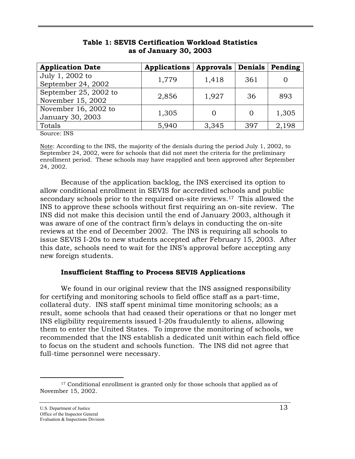| <b>Application Date</b>                    | <b>Applications</b> | <b>Approvals</b> | <b>Denials</b> | Pending |
|--------------------------------------------|---------------------|------------------|----------------|---------|
| July 1, 2002 to<br>September 24, 2002      | 1,779               | 1,418            | 361            |         |
| September 25, 2002 to<br>November 15, 2002 | 2,856               | 1,927            | 36             | 893     |
| November 16, 2002 to<br>January 30, 2003   | 1,305               |                  |                | 1,305   |
| Totals                                     | 5,940               | 3,345            | 397            | 2,198   |

#### **Table 1: SEVIS Certification Workload Statistics as of January 30, 2003**

Source: INS

Note: According to the INS, the majority of the denials during the period July 1, 2002, to September 24, 2002, were for schools that did not meet the criteria for the preliminary enrollment period. These schools may have reapplied and been approved after September 24, 2002.

Because of the application backlog, the INS exercised its option to allow conditional enrollment in SEVIS for accredited schools and public secondary schools prior to the required on-site reviews.<sup>17</sup> This allowed the INS to approve these schools without first requiring an on-site review. The INS did not make this decision until the end of January 2003, although it was aware of one of the contract firm's delays in conducting the on-site reviews at the end of December 2002. The INS is requiring all schools to issue SEVIS I-20s to new students accepted after February 15, 2003. After this date, schools need to wait for the INS's approval before accepting any new foreign students.

#### **Insufficient Staffing to Process SEVIS Applications**

We found in our original review that the INS assigned responsibility for certifying and monitoring schools to field office staff as a part-time, collateral duty. INS staff spent minimal time monitoring schools; as a result, some schools that had ceased their operations or that no longer met INS eligibility requirements issued I-20s fraudulently to aliens, allowing them to enter the United States. To improve the monitoring of schools, we recommended that the INS establish a dedicated unit within each field office to focus on the student and schools function. The INS did not agree that full-time personnel were necessary.

<span id="page-21-0"></span> $\overline{a}$ <sup>17</sup> Conditional enrollment is granted only for those schools that applied as of November 15, 2002.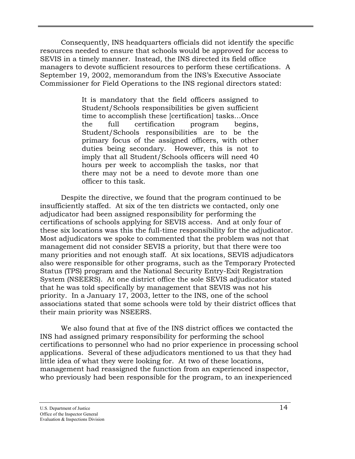Consequently, INS headquarters officials did not identify the specific resources needed to ensure that schools would be approved for access to SEVIS in a timely manner. Instead, the INS directed its field office managers to devote sufficient resources to perform these certifications. A September 19, 2002, memorandum from the INS's Executive Associate Commissioner for Field Operations to the INS regional directors stated:

> It is mandatory that the field officers assigned to Student/Schools responsibilities be given sufficient time to accomplish these [certification] tasks…Once the full certification program begins, Student/Schools responsibilities are to be the primary focus of the assigned officers, with other duties being secondary. However, this is not to imply that all Student/Schools officers will need 40 hours per week to accomplish the tasks, nor that there may not be a need to devote more than one officer to this task.

Despite the directive, we found that the program continued to be insufficiently staffed. At six of the ten districts we contacted, only one adjudicator had been assigned responsibility for performing the certifications of schools applying for SEVIS access. And at only four of these six locations was this the full-time responsibility for the adjudicator. Most adjudicators we spoke to commented that the problem was not that management did not consider SEVIS a priority, but that there were too many priorities and not enough staff. At six locations, SEVIS adjudicators also were responsible for other programs, such as the Temporary Protected Status (TPS) program and the National Security Entry-Exit Registration System (NSEERS). At one district office the sole SEVIS adjudicator stated that he was told specifically by management that SEVIS was not his priority. In a January 17, 2003, letter to the INS, one of the school associations stated that some schools were told by their district offices that their main priority was NSEERS.

We also found that at five of the INS district offices we contacted the INS had assigned primary responsibility for performing the school certifications to personnel who had no prior experience in processing school applications. Several of these adjudicators mentioned to us that they had little idea of what they were looking for. At two of these locations, management had reassigned the function from an experienced inspector, who previously had been responsible for the program, to an inexperienced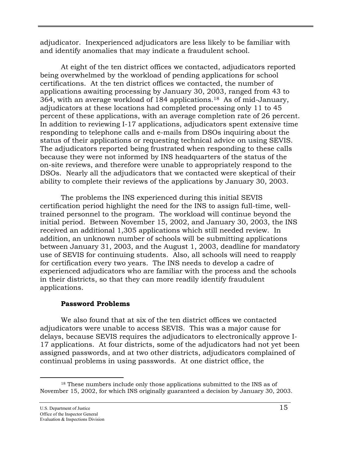adjudicator. Inexperienced adjudicators are less likely to be familiar with and identify anomalies that may indicate a fraudulent school.

At eight of the ten district offices we contacted, adjudicators reported being overwhelmed by the workload of pending applications for school certifications. At the ten district offices we contacted, the number of applications awaiting processing by January 30, 2003, ranged from 43 to 364, with an average workload of 184 applications.[18](#page-23-0) As of mid-January, adjudicators at these locations had completed processing only 11 to 45 percent of these applications, with an average completion rate of 26 percent. In addition to reviewing I-17 applications, adjudicators spent extensive time responding to telephone calls and e-mails from DSOs inquiring about the status of their applications or requesting technical advice on using SEVIS. The adjudicators reported being frustrated when responding to these calls because they were not informed by INS headquarters of the status of the on-site reviews, and therefore were unable to appropriately respond to the DSOs. Nearly all the adjudicators that we contacted were skeptical of their ability to complete their reviews of the applications by January 30, 2003.

The problems the INS experienced during this initial SEVIS certification period highlight the need for the INS to assign full-time, welltrained personnel to the program. The workload will continue beyond the initial period. Between November 15, 2002, and January 30, 2003, the INS received an additional 1,305 applications which still needed review. In addition, an unknown number of schools will be submitting applications between January 31, 2003, and the August 1, 2003, deadline for mandatory use of SEVIS for continuing students. Also, all schools will need to reapply for certification every two years. The INS needs to develop a cadre of experienced adjudicators who are familiar with the process and the schools in their districts, so that they can more readily identify fraudulent applications.

#### **Password Problems**

We also found that at six of the ten district offices we contacted adjudicators were unable to access SEVIS. This was a major cause for delays, because SEVIS requires the adjudicators to electronically approve I-17 applications. At four districts, some of the adjudicators had not yet been assigned passwords, and at two other districts, adjudicators complained of continual problems in using passwords. At one district office, the

<span id="page-23-0"></span> $\overline{a}$ <sup>18</sup> These numbers include only those applications submitted to the INS as of November 15, 2002, for which INS originally guaranteed a decision by January 30, 2003.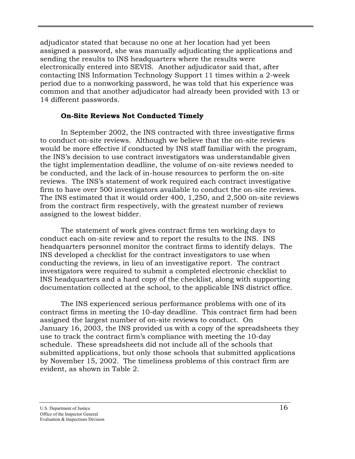adjudicator stated that because no one at her location had yet been assigned a password, she was manually adjudicating the applications and sending the results to INS headquarters where the results were electronically entered into SEVIS. Another adjudicator said that, after contacting INS Information Technology Support 11 times within a 2-week period due to a nonworking password, he was told that his experience was common and that another adjudicator had already been provided with 13 or 14 different passwords.

#### **On-Site Reviews Not Conducted Timely**

In September 2002, the INS contracted with three investigative firms to conduct on-site reviews. Although we believe that the on-site reviews would be more effective if conducted by INS staff familiar with the program, the INS's decision to use contract investigators was understandable given the tight implementation deadline, the volume of on-site reviews needed to be conducted, and the lack of in-house resources to perform the on-site reviews. The INS's statement of work required each contract investigative firm to have over 500 investigators available to conduct the on-site reviews. The INS estimated that it would order 400, 1,250, and 2,500 on-site reviews from the contract firm respectively, with the greatest number of reviews assigned to the lowest bidder.

The statement of work gives contract firms ten working days to conduct each on-site review and to report the results to the INS. INS headquarters personnel monitor the contract firms to identify delays. The INS developed a checklist for the contract investigators to use when conducting the reviews, in lieu of an investigative report. The contract investigators were required to submit a completed electronic checklist to INS headquarters and a hard copy of the checklist, along with supporting documentation collected at the school, to the applicable INS district office.

The INS experienced serious performance problems with one of its contract firms in meeting the 10-day deadline. This contract firm had been assigned the largest number of on-site reviews to conduct. On January 16, 2003, the INS provided us with a copy of the spreadsheets they use to track the contract firm's compliance with meeting the 10-day schedule. These spreadsheets did not include all of the schools that submitted applications, but only those schools that submitted applications by November 15, 2002. The timeliness problems of this contract firm are evident, as shown in Table 2.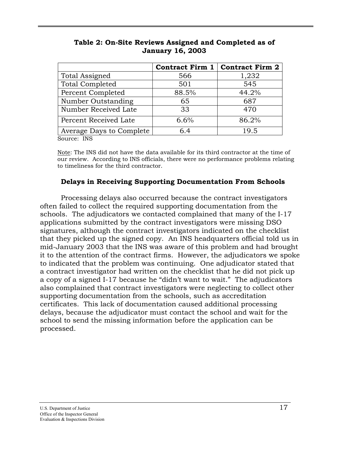|                          |       | Contract Firm 1   Contract Firm 2 |
|--------------------------|-------|-----------------------------------|
| Total Assigned           | 566   | 1,232                             |
| <b>Total Completed</b>   | 501   | 545                               |
| Percent Completed        | 88.5% | 44.2%                             |
| Number Outstanding       | 65    | 687                               |
| Number Received Late     | 33    | 470                               |
| Percent Received Late    | 6.6%  | 86.2%                             |
| Average Days to Complete | 6.4   | 19.5                              |

**Table 2: On-Site Reviews Assigned and Completed as of January 16, 2003** 

Source: INS

Note: The INS did not have the data available for its third contractor at the time of our review. According to INS officials, there were no performance problems relating to timeliness for the third contractor.

#### **Delays in Receiving Supporting Documentation From Schools**

Processing delays also occurred because the contract investigators often failed to collect the required supporting documentation from the schools. The adjudicators we contacted complained that many of the I-17 applications submitted by the contract investigators were missing DSO signatures, although the contract investigators indicated on the checklist that they picked up the signed copy. An INS headquarters official told us in mid-January 2003 that the INS was aware of this problem and had brought it to the attention of the contract firms. However, the adjudicators we spoke to indicated that the problem was continuing. One adjudicator stated that a contract investigator had written on the checklist that he did not pick up a copy of a signed I-17 because he "didn't want to wait." The adjudicators also complained that contract investigators were neglecting to collect other supporting documentation from the schools, such as accreditation certificates. This lack of documentation caused additional processing delays, because the adjudicator must contact the school and wait for the school to send the missing information before the application can be processed.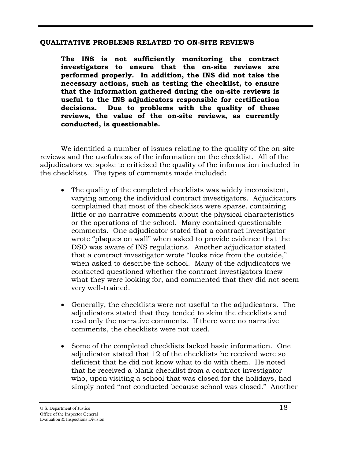#### **QUALITATIVE PROBLEMS RELATED TO ON-SITE REVIEWS**

**The INS is not sufficiently monitoring the contract investigators to ensure that the on-site reviews are performed properly. In addition, the INS did not take the necessary actions, such as testing the checklist, to ensure that the information gathered during the on-site reviews is useful to the INS adjudicators responsible for certification decisions. Due to problems with the quality of these reviews, the value of the on-site reviews, as currently conducted, is questionable.** 

We identified a number of issues relating to the quality of the on-site reviews and the usefulness of the information on the checklist. All of the adjudicators we spoke to criticized the quality of the information included in the checklists. The types of comments made included:

- The quality of the completed checklists was widely inconsistent, varying among the individual contract investigators. Adjudicators complained that most of the checklists were sparse, containing little or no narrative comments about the physical characteristics or the operations of the school. Many contained questionable comments. One adjudicator stated that a contract investigator wrote "plaques on wall" when asked to provide evidence that the DSO was aware of INS regulations. Another adjudicator stated that a contract investigator wrote "looks nice from the outside," when asked to describe the school. Many of the adjudicators we contacted questioned whether the contract investigators knew what they were looking for, and commented that they did not seem very well-trained.
- Generally, the checklists were not useful to the adjudicators. The adjudicators stated that they tended to skim the checklists and read only the narrative comments. If there were no narrative comments, the checklists were not used.
- Some of the completed checklists lacked basic information. One adjudicator stated that 12 of the checklists he received were so deficient that he did not know what to do with them. He noted that he received a blank checklist from a contract investigator who, upon visiting a school that was closed for the holidays, had simply noted "not conducted because school was closed." Another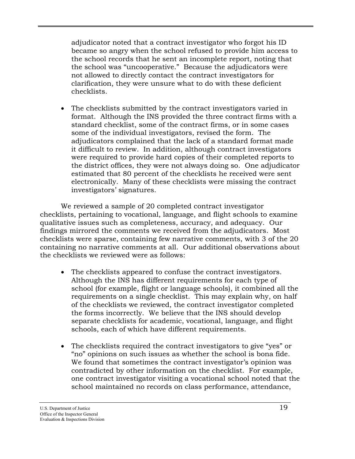adjudicator noted that a contract investigator who forgot his ID became so angry when the school refused to provide him access to the school records that he sent an incomplete report, noting that the school was "uncooperative." Because the adjudicators were not allowed to directly contact the contract investigators for clarification, they were unsure what to do with these deficient checklists.

The checklists submitted by the contract investigators varied in format. Although the INS provided the three contract firms with a standard checklist, some of the contract firms, or in some cases some of the individual investigators, revised the form. The adjudicators complained that the lack of a standard format made it difficult to review. In addition, although contract investigators were required to provide hard copies of their completed reports to the district offices, they were not always doing so. One adjudicator estimated that 80 percent of the checklists he received were sent electronically. Many of these checklists were missing the contract investigators' signatures.

We reviewed a sample of 20 completed contract investigator checklists, pertaining to vocational, language, and flight schools to examine qualitative issues such as completeness, accuracy, and adequacy. Our findings mirrored the comments we received from the adjudicators. Most checklists were sparse, containing few narrative comments, with 3 of the 20 containing no narrative comments at all. Our additional observations about the checklists we reviewed were as follows:

- The checklists appeared to confuse the contract investigators. Although the INS has different requirements for each type of school (for example, flight or language schools), it combined all the requirements on a single checklist. This may explain why, on half of the checklists we reviewed, the contract investigator completed the forms incorrectly. We believe that the INS should develop separate checklists for academic, vocational, language, and flight schools, each of which have different requirements.
- The checklists required the contract investigators to give "yes" or "no" opinions on such issues as whether the school is bona fide. We found that sometimes the contract investigator's opinion was contradicted by other information on the checklist. For example, one contract investigator visiting a vocational school noted that the school maintained no records on class performance, attendance,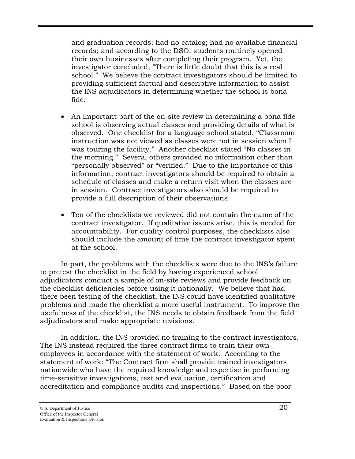and graduation records; had no catalog; had no available financial records; and according to the DSO, students routinely opened their own businesses after completing their program. Yet, the investigator concluded, "There is little doubt that this is a real school." We believe the contract investigators should be limited to providing sufficient factual and descriptive information to assist the INS adjudicators in determining whether the school is bona fide.

- An important part of the on-site review in determining a bona fide school is observing actual classes and providing details of what is observed. One checklist for a language school stated, "Classroom instruction was not viewed as classes were not in session when I was touring the facility." Another checklist stated "No classes in the morning." Several others provided no information other than "personally observed" or "verified." Due to the importance of this information, contract investigators should be required to obtain a schedule of classes and make a return visit when the classes are in session. Contract investigators also should be required to provide a full description of their observations.
- Ten of the checklists we reviewed did not contain the name of the contract investigator. If qualitative issues arise, this is needed for accountability. For quality control purposes, the checklists also should include the amount of time the contract investigator spent at the school.

In part, the problems with the checklists were due to the INS's failure to pretest the checklist in the field by having experienced school adjudicators conduct a sample of on-site reviews and provide feedback on the checklist deficiencies before using it nationally. We believe that had there been testing of the checklist, the INS could have identified qualitative problems and made the checklist a more useful instrument. To improve the usefulness of the checklist, the INS needs to obtain feedback from the field adjudicators and make appropriate revisions.

In addition, the INS provided no training to the contract investigators. The INS instead required the three contract firms to train their own employees in accordance with the statement of work. According to the statement of work: "The Contract firm shall provide trained investigators nationwide who have the required knowledge and expertise in performing time-sensitive investigations, test and evaluation, certification and accreditation and compliance audits and inspections." Based on the poor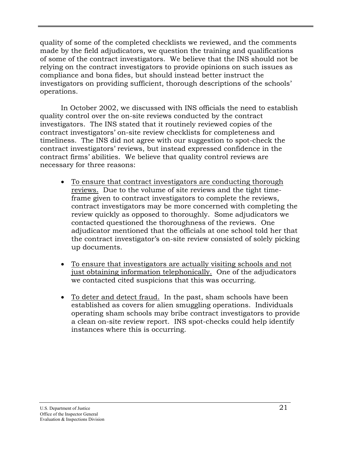quality of some of the completed checklists we reviewed, and the comments made by the field adjudicators, we question the training and qualifications of some of the contract investigators. We believe that the INS should not be relying on the contract investigators to provide opinions on such issues as compliance and bona fides, but should instead better instruct the investigators on providing sufficient, thorough descriptions of the schools' operations.

In October 2002, we discussed with INS officials the need to establish quality control over the on-site reviews conducted by the contract investigators. The INS stated that it routinely reviewed copies of the contract investigators' on-site review checklists for completeness and timeliness. The INS did not agree with our suggestion to spot-check the contract investigators' reviews, but instead expressed confidence in the contract firms' abilities. We believe that quality control reviews are necessary for three reasons:

- To ensure that contract investigators are conducting thorough reviews. Due to the volume of site reviews and the tight timeframe given to contract investigators to complete the reviews, contract investigators may be more concerned with completing the review quickly as opposed to thoroughly. Some adjudicators we contacted questioned the thoroughness of the reviews. One adjudicator mentioned that the officials at one school told her that the contract investigator's on-site review consisted of solely picking up documents.
- To ensure that investigators are actually visiting schools and not just obtaining information telephonically. One of the adjudicators we contacted cited suspicions that this was occurring.
- To deter and detect fraud. In the past, sham schools have been established as covers for alien smuggling operations. Individuals operating sham schools may bribe contract investigators to provide a clean on-site review report. INS spot-checks could help identify instances where this is occurring.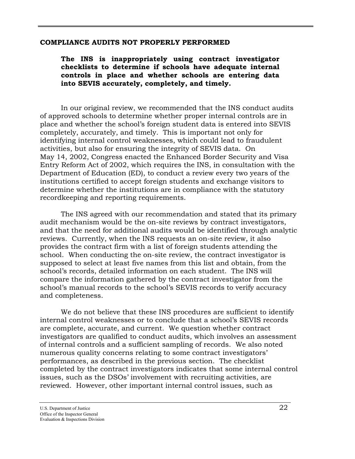#### **COMPLIANCE AUDITS NOT PROPERLY PERFORMED**

**The INS is inappropriately using contract investigator checklists to determine if schools have adequate internal controls in place and whether schools are entering data into SEVIS accurately, completely, and timely.** 

In our original review, we recommended that the INS conduct audits of approved schools to determine whether proper internal controls are in place and whether the school's foreign student data is entered into SEVIS completely, accurately, and timely. This is important not only for identifying internal control weaknesses, which could lead to fraudulent activities, but also for ensuring the integrity of SEVIS data. On May 14, 2002, Congress enacted the Enhanced Border Security and Visa Entry Reform Act of 2002, which requires the INS, in consultation with the Department of Education (ED), to conduct a review every two years of the institutions certified to accept foreign students and exchange visitors to determine whether the institutions are in compliance with the statutory recordkeeping and reporting requirements.

The INS agreed with our recommendation and stated that its primary audit mechanism would be the on-site reviews by contract investigators, and that the need for additional audits would be identified through analytic reviews. Currently, when the INS requests an on-site review, it also provides the contract firm with a list of foreign students attending the school. When conducting the on-site review, the contract investigator is supposed to select at least five names from this list and obtain, from the school's records, detailed information on each student. The INS will compare the information gathered by the contract investigator from the school's manual records to the school's SEVIS records to verify accuracy and completeness.

We do not believe that these INS procedures are sufficient to identify internal control weaknesses or to conclude that a school's SEVIS records are complete, accurate, and current. We question whether contract investigators are qualified to conduct audits, which involves an assessment of internal controls and a sufficient sampling of records. We also noted numerous quality concerns relating to some contract investigators' performances, as described in the previous section. The checklist completed by the contract investigators indicates that some internal control issues, such as the DSOs' involvement with recruiting activities, are reviewed. However, other important internal control issues, such as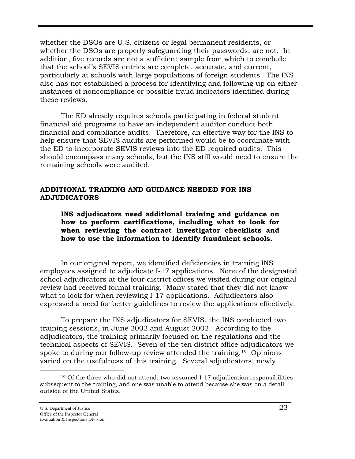whether the DSOs are U.S. citizens or legal permanent residents, or whether the DSOs are properly safeguarding their passwords, are not. In addition, five records are not a sufficient sample from which to conclude that the school's SEVIS entries are complete, accurate, and current, particularly at schools with large populations of foreign students. The INS also has not established a process for identifying and following up on either instances of noncompliance or possible fraud indicators identified during these reviews.

The ED already requires schools participating in federal student financial aid programs to have an independent auditor conduct both financial and compliance audits. Therefore, an effective way for the INS to help ensure that SEVIS audits are performed would be to coordinate with the ED to incorporate SEVIS reviews into the ED required audits. This should encompass many schools, but the INS still would need to ensure the remaining schools were audited.

#### **ADDITIONAL TRAINING AND GUIDANCE NEEDED FOR INS ADJUDICATORS**

**INS adjudicators need additional training and guidance on how to perform certifications, including what to look for when reviewing the contract investigator checklists and how to use the information to identify fraudulent schools.** 

In our original report, we identified deficiencies in training INS employees assigned to adjudicate I-17 applications. None of the designated school adjudicators at the four district offices we visited during our original review had received formal training. Many stated that they did not know what to look for when reviewing I-17 applications. Adjudicators also expressed a need for better guidelines to review the applications effectively.

To prepare the INS adjudicators for SEVIS, the INS conducted two training sessions, in June 2002 and August 2002. According to the adjudicators, the training primarily focused on the regulations and the technical aspects of SEVIS. Seven of the ten district office adjudicators we spoke to during our follow-up review attended the training.<sup>19</sup> Opinions varied on the usefulness of this training. Several adjudicators, newly

 $\overline{a}$ 

<span id="page-31-0"></span> $19$  Of the three who did not attend, two assumed I-17 adjudication responsibilities subsequent to the training, and one was unable to attend because she was on a detail outside of the United States.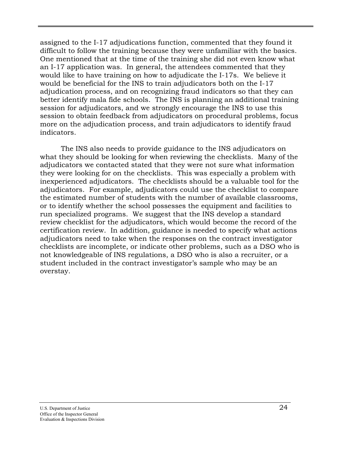assigned to the I-17 adjudications function, commented that they found it difficult to follow the training because they were unfamiliar with the basics. One mentioned that at the time of the training she did not even know what an I-17 application was. In general, the attendees commented that they would like to have training on how to adjudicate the I-17s. We believe it would be beneficial for the INS to train adjudicators both on the I-17 adjudication process, and on recognizing fraud indicators so that they can better identify mala fide schools. The INS is planning an additional training session for adjudicators, and we strongly encourage the INS to use this session to obtain feedback from adjudicators on procedural problems, focus more on the adjudication process, and train adjudicators to identify fraud indicators.

The INS also needs to provide guidance to the INS adjudicators on what they should be looking for when reviewing the checklists. Many of the adjudicators we contacted stated that they were not sure what information they were looking for on the checklists. This was especially a problem with inexperienced adjudicators. The checklists should be a valuable tool for the adjudicators. For example, adjudicators could use the checklist to compare the estimated number of students with the number of available classrooms, or to identify whether the school possesses the equipment and facilities to run specialized programs. We suggest that the INS develop a standard review checklist for the adjudicators, which would become the record of the certification review. In addition, guidance is needed to specify what actions adjudicators need to take when the responses on the contract investigator checklists are incomplete, or indicate other problems, such as a DSO who is not knowledgeable of INS regulations, a DSO who is also a recruiter, or a student included in the contract investigator's sample who may be an overstay.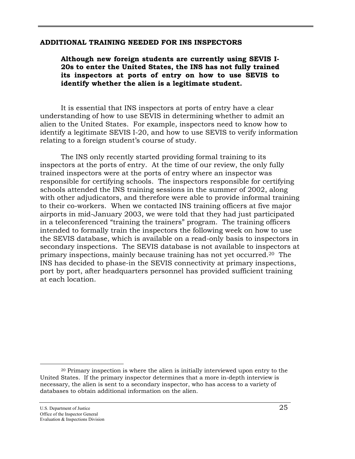#### **ADDITIONAL TRAINING NEEDED FOR INS INSPECTORS**

**Although new foreign students are currently using SEVIS I-20s to enter the United States, the INS has not fully trained its inspectors at ports of entry on how to use SEVIS to identify whether the alien is a legitimate student.** 

It is essential that INS inspectors at ports of entry have a clear understanding of how to use SEVIS in determining whether to admit an alien to the United States. For example, inspectors need to know how to identify a legitimate SEVIS I-20, and how to use SEVIS to verify information relating to a foreign student's course of study.

The INS only recently started providing formal training to its inspectors at the ports of entry. At the time of our review, the only fully trained inspectors were at the ports of entry where an inspector was responsible for certifying schools. The inspectors responsible for certifying schools attended the INS training sessions in the summer of 2002, along with other adjudicators, and therefore were able to provide informal training to their co-workers. When we contacted INS training officers at five major airports in mid-January 2003, we were told that they had just participated in a teleconferenced "training the trainers" program. The training officers intended to formally train the inspectors the following week on how to use the SEVIS database, which is available on a read-only basis to inspectors in secondary inspections. The SEVIS database is not available to inspectors at primary inspections, mainly because training has not yet occurred.[20](#page-33-0) The INS has decided to phase-in the SEVIS connectivity at primary inspections, port by port, after headquarters personnel has provided sufficient training at each location.

 $\overline{a}$ 

<span id="page-33-0"></span><sup>20</sup> Primary inspection is where the alien is initially interviewed upon entry to the United States. If the primary inspector determines that a more in-depth interview is necessary, the alien is sent to a secondary inspector, who has access to a variety of databases to obtain additional information on the alien.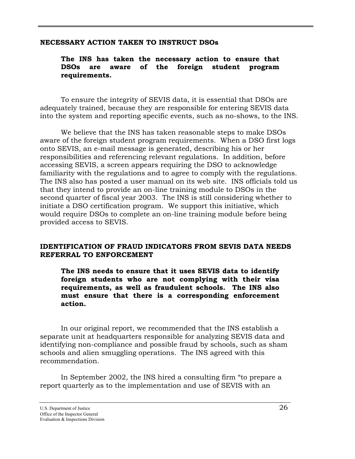#### **NECESSARY ACTION TAKEN TO INSTRUCT DSOs**

#### **The INS has taken the necessary action to ensure that DSOs are aware of the foreign student program requirements.**

To ensure the integrity of SEVIS data, it is essential that DSOs are adequately trained, because they are responsible for entering SEVIS data into the system and reporting specific events, such as no-shows, to the INS.

We believe that the INS has taken reasonable steps to make DSOs aware of the foreign student program requirements. When a DSO first logs onto SEVIS, an e-mail message is generated, describing his or her responsibilities and referencing relevant regulations. In addition, before accessing SEVIS, a screen appears requiring the DSO to acknowledge familiarity with the regulations and to agree to comply with the regulations. The INS also has posted a user manual on its web site. INS officials told us that they intend to provide an on-line training module to DSOs in the second quarter of fiscal year 2003. The INS is still considering whether to initiate a DSO certification program. We support this initiative, which would require DSOs to complete an on-line training module before being provided access to SEVIS.

#### **IDENTIFICATION OF FRAUD INDICATORS FROM SEVIS DATA NEEDS REFERRAL TO ENFORCEMENT**

**The INS needs to ensure that it uses SEVIS data to identify foreign students who are not complying with their visa requirements, as well as fraudulent schools. The INS also must ensure that there is a corresponding enforcement action.** 

In our original report, we recommended that the INS establish a separate unit at headquarters responsible for analyzing SEVIS data and identifying non-compliance and possible fraud by schools, such as sham schools and alien smuggling operations. The INS agreed with this recommendation.

In September 2002, the INS hired a consulting firm "to prepare a report quarterly as to the implementation and use of SEVIS with an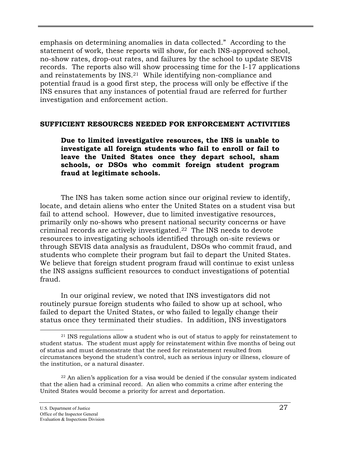emphasis on determining anomalies in data collected." According to the statement of work, these reports will show, for each INS-approved school, no-show rates, drop-out rates, and failures by the school to update SEVIS records. The reports also will show processing time for the I-17 applications and reinstatements by INS.[21](#page-35-0) While identifying non-compliance and potential fraud is a good first step, the process will only be effective if the INS ensures that any instances of potential fraud are referred for further investigation and enforcement action.

#### **SUFFICIENT RESOURCES NEEDED FOR ENFORCEMENT ACTIVITIES**

**Due to limited investigative resources, the INS is unable to investigate all foreign students who fail to enroll or fail to leave the United States once they depart school, sham schools, or DSOs who commit foreign student program fraud at legitimate schools.** 

The INS has taken some action since our original review to identify, locate, and detain aliens who enter the United States on a student visa but fail to attend school. However, due to limited investigative resources, primarily only no-shows who present national security concerns or have criminal records are actively investigated.[22](#page-35-1) The INS needs to devote resources to investigating schools identified through on-site reviews or through SEVIS data analysis as fraudulent, DSOs who commit fraud, and students who complete their program but fail to depart the United States. We believe that foreign student program fraud will continue to exist unless the INS assigns sufficient resources to conduct investigations of potential fraud.

In our original review, we noted that INS investigators did not routinely pursue foreign students who failed to show up at school, who failed to depart the United States, or who failed to legally change their status once they terminated their studies. In addition, INS investigators

 $\overline{a}$ 

<span id="page-35-0"></span><sup>&</sup>lt;sup>21</sup> INS regulations allow a student who is out of status to apply for reinstatement to student status. The student must apply for reinstatement within five months of being out of status and must demonstrate that the need for reinstatement resulted from circumstances beyond the student's control, such as serious injury or illness, closure of the institution, or a natural disaster.

<span id="page-35-1"></span><sup>22</sup> An alien's application for a visa would be denied if the consular system indicated that the alien had a criminal record. An alien who commits a crime after entering the United States would become a priority for arrest and deportation.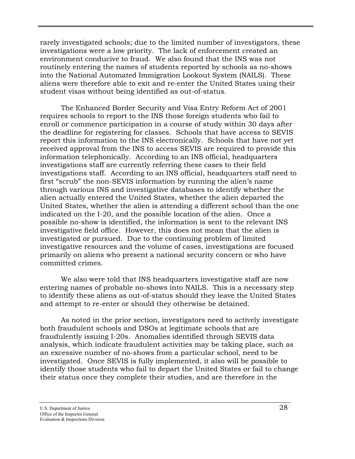rarely investigated schools; due to the limited number of investigators, these investigations were a low priority. The lack of enforcement created an environment conducive to fraud. We also found that the INS was not routinely entering the names of students reported by schools as no-shows into the National Automated Immigration Lookout System (NAILS). These aliens were therefore able to exit and re-enter the United States using their student visas without being identified as out-of-status.

The Enhanced Border Security and Visa Entry Reform Act of 2001 requires schools to report to the INS those foreign students who fail to enroll or commence participation in a course of study within 30 days after the deadline for registering for classes. Schools that have access to SEVIS report this information to the INS electronically. Schools that have not yet received approval from the INS to access SEVIS are required to provide this information telephonically. According to an INS official, headquarters investigations staff are currently referring these cases to their field investigations staff. According to an INS official, headquarters staff need to first "scrub" the non-SEVIS information by running the alien's name through various INS and investigative databases to identify whether the alien actually entered the United States, whether the alien departed the United States, whether the alien is attending a different school than the one indicated on the I-20, and the possible location of the alien. Once a possible no-show is identified, the information is sent to the relevant INS investigative field office. However, this does not mean that the alien is investigated or pursued. Due to the continuing problem of limited investigative resources and the volume of cases, investigations are focused primarily on aliens who present a national security concern or who have committed crimes.

We also were told that INS headquarters investigative staff are now entering names of probable no-shows into NAILS. This is a necessary step to identify these aliens as out-of-status should they leave the United States and attempt to re-enter or should they otherwise be detained.

As noted in the prior section, investigators need to actively investigate both fraudulent schools and DSOs at legitimate schools that are fraudulently issuing I-20s. Anomalies identified through SEVIS data analysis, which indicate fraudulent activities may be taking place, such as an excessive number of no-shows from a particular school, need to be investigated. Once SEVIS is fully implemented, it also will be possible to identify those students who fail to depart the United States or fail to change their status once they complete their studies, and are therefore in the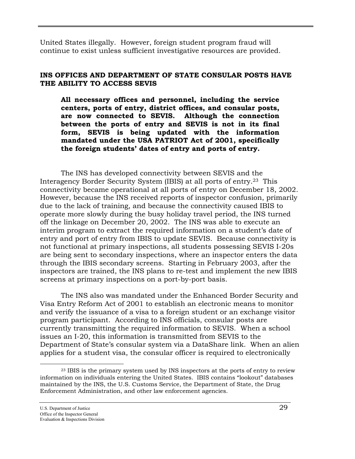United States illegally. However, foreign student program fraud will continue to exist unless sufficient investigative resources are provided.

#### **INS OFFICES AND DEPARTMENT OF STATE CONSULAR POSTS HAVE THE ABILITY TO ACCESS SEVIS**

**All necessary offices and personnel, including the service centers, ports of entry, district offices, and consular posts, are now connected to SEVIS. Although the connection between the ports of entry and SEVIS is not in its final form, SEVIS is being updated with the information mandated under the USA PATRIOT Act of 2001, specifically the foreign students' dates of entry and ports of entry.** 

The INS has developed connectivity between SEVIS and the Interagency Border Security System (IBIS) at all ports of entry.[23](#page-37-0) This connectivity became operational at all ports of entry on December 18, 2002. However, because the INS received reports of inspector confusion, primarily due to the lack of training, and because the connectivity caused IBIS to operate more slowly during the busy holiday travel period, the INS turned off the linkage on December 20, 2002. The INS was able to execute an interim program to extract the required information on a student's date of entry and port of entry from IBIS to update SEVIS. Because connectivity is not functional at primary inspections, all students possessing SEVIS I-20s are being sent to secondary inspections, where an inspector enters the data through the IBIS secondary screens. Starting in February 2003, after the inspectors are trained, the INS plans to re-test and implement the new IBIS screens at primary inspections on a port-by-port basis.

The INS also was mandated under the Enhanced Border Security and Visa Entry Reform Act of 2001 to establish an electronic means to monitor and verify the issuance of a visa to a foreign student or an exchange visitor program participant. According to INS officials, consular posts are currently transmitting the required information to SEVIS. When a school issues an I-20, this information is transmitted from SEVIS to the Department of State's consular system via a DataShare link. When an alien applies for a student visa, the consular officer is required to electronically

 $\overline{a}$ 

<span id="page-37-0"></span><sup>&</sup>lt;sup>23</sup> IBIS is the primary system used by INS inspectors at the ports of entry to review information on individuals entering the United States. IBIS contains "lookout" databases maintained by the INS, the U.S. Customs Service, the Department of State, the Drug Enforcement Administration, and other law enforcement agencies.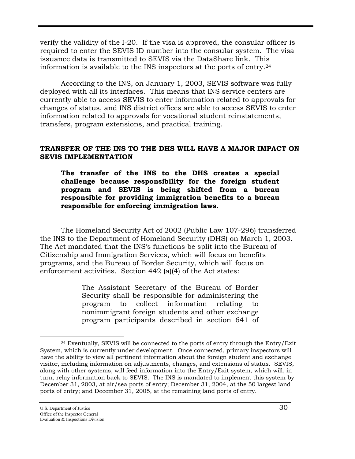verify the validity of the I-20. If the visa is approved, the consular officer is required to enter the SEVIS ID number into the consular system. The visa issuance data is transmitted to SEVIS via the DataShare link. This information is available to the INS inspectors at the ports of entry.[24](#page-38-0) 

According to the INS, on January 1, 2003, SEVIS software was fully deployed with all its interfaces. This means that INS service centers are currently able to access SEVIS to enter information related to approvals for changes of status, and INS district offices are able to access SEVIS to enter information related to approvals for vocational student reinstatements, transfers, program extensions, and practical training.

#### **TRANSFER OF THE INS TO THE DHS WILL HAVE A MAJOR IMPACT ON SEVIS IMPLEMENTATION**

**The transfer of the INS to the DHS creates a special challenge because responsibility for the foreign student program and SEVIS is being shifted from a bureau responsible for providing immigration benefits to a bureau responsible for enforcing immigration laws.** 

The Homeland Security Act of 2002 (Public Law 107-296) transferred the INS to the Department of Homeland Security (DHS) on March 1, 2003. The Act mandated that the INS's functions be split into the Bureau of Citizenship and Immigration Services, which will focus on benefits programs, and the Bureau of Border Security, which will focus on enforcement activities. Section 442 (a)(4) of the Act states:

> The Assistant Secretary of the Bureau of Border Security shall be responsible for administering the program to collect information relating to nonimmigrant foreign students and other exchange program participants described in section 641 of

<span id="page-38-0"></span> $\overline{a}$ 24 Eventually, SEVIS will be connected to the ports of entry through the Entry/Exit System, which is currently under development. Once connected, primary inspectors will have the ability to view all pertinent information about the foreign student and exchange visitor, including information on adjustments, changes, and extensions of status. SEVIS, along with other systems, will feed information into the Entry/Exit system, which will, in turn, relay information back to SEVIS. The INS is mandated to implement this system by December 31, 2003, at air/sea ports of entry; December 31, 2004, at the 50 largest land ports of entry; and December 31, 2005, at the remaining land ports of entry.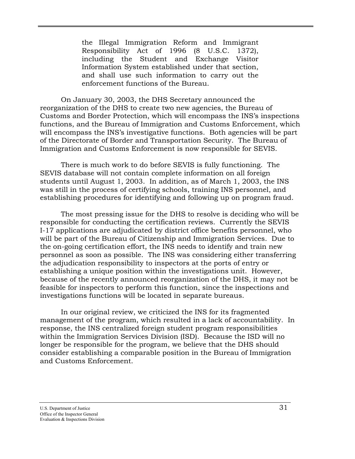the Illegal Immigration Reform and Immigrant Responsibility Act of 1996 (8 U.S.C. 1372), including the Student and Exchange Visitor Information System established under that section, and shall use such information to carry out the enforcement functions of the Bureau.

On January 30, 2003, the DHS Secretary announced the reorganization of the DHS to create two new agencies, the Bureau of Customs and Border Protection, which will encompass the INS's inspections functions, and the Bureau of Immigration and Customs Enforcement, which will encompass the INS's investigative functions. Both agencies will be part of the Directorate of Border and Transportation Security. The Bureau of Immigration and Customs Enforcement is now responsible for SEVIS.

There is much work to do before SEVIS is fully functioning. The SEVIS database will not contain complete information on all foreign students until August 1, 2003. In addition, as of March 1, 2003, the INS was still in the process of certifying schools, training INS personnel, and establishing procedures for identifying and following up on program fraud.

The most pressing issue for the DHS to resolve is deciding who will be responsible for conducting the certification reviews. Currently the SEVIS I-17 applications are adjudicated by district office benefits personnel, who will be part of the Bureau of Citizenship and Immigration Services. Due to the on-going certification effort, the INS needs to identify and train new personnel as soon as possible. The INS was considering either transferring the adjudication responsibility to inspectors at the ports of entry or establishing a unique position within the investigations unit. However, because of the recently announced reorganization of the DHS, it may not be feasible for inspectors to perform this function, since the inspections and investigations functions will be located in separate bureaus.

In our original review, we criticized the INS for its fragmented management of the program, which resulted in a lack of accountability. In response, the INS centralized foreign student program responsibilities within the Immigration Services Division (ISD). Because the ISD will no longer be responsible for the program, we believe that the DHS should consider establishing a comparable position in the Bureau of Immigration and Customs Enforcement.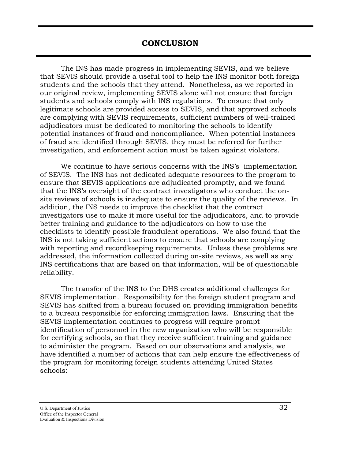The INS has made progress in implementing SEVIS, and we believe that SEVIS should provide a useful tool to help the INS monitor both foreign students and the schools that they attend. Nonetheless, as we reported in our original review, implementing SEVIS alone will not ensure that foreign students and schools comply with INS regulations. To ensure that only legitimate schools are provided access to SEVIS, and that approved schools are complying with SEVIS requirements, sufficient numbers of well-trained adjudicators must be dedicated to monitoring the schools to identify potential instances of fraud and noncompliance. When potential instances of fraud are identified through SEVIS, they must be referred for further investigation, and enforcement action must be taken against violators.

We continue to have serious concerns with the INS's implementation of SEVIS. The INS has not dedicated adequate resources to the program to ensure that SEVIS applications are adjudicated promptly, and we found that the INS's oversight of the contract investigators who conduct the onsite reviews of schools is inadequate to ensure the quality of the reviews. In addition, the INS needs to improve the checklist that the contract investigators use to make it more useful for the adjudicators, and to provide better training and guidance to the adjudicators on how to use the checklists to identify possible fraudulent operations. We also found that the INS is not taking sufficient actions to ensure that schools are complying with reporting and recordkeeping requirements. Unless these problems are addressed, the information collected during on-site reviews, as well as any INS certifications that are based on that information, will be of questionable reliability.

The transfer of the INS to the DHS creates additional challenges for SEVIS implementation. Responsibility for the foreign student program and SEVIS has shifted from a bureau focused on providing immigration benefits to a bureau responsible for enforcing immigration laws. Ensuring that the SEVIS implementation continues to progress will require prompt identification of personnel in the new organization who will be responsible for certifying schools, so that they receive sufficient training and guidance to administer the program. Based on our observations and analysis, we have identified a number of actions that can help ensure the effectiveness of the program for monitoring foreign students attending United States schools: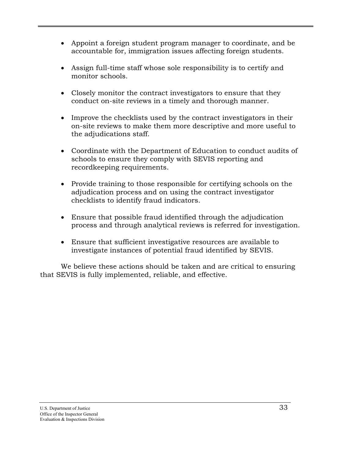- Appoint a foreign student program manager to coordinate, and be accountable for, immigration issues affecting foreign students.
- Assign full-time staff whose sole responsibility is to certify and monitor schools.
- Closely monitor the contract investigators to ensure that they conduct on-site reviews in a timely and thorough manner.
- Improve the checklists used by the contract investigators in their on-site reviews to make them more descriptive and more useful to the adjudications staff.
- Coordinate with the Department of Education to conduct audits of schools to ensure they comply with SEVIS reporting and recordkeeping requirements.
- Provide training to those responsible for certifying schools on the adjudication process and on using the contract investigator checklists to identify fraud indicators.
- Ensure that possible fraud identified through the adjudication process and through analytical reviews is referred for investigation.
- Ensure that sufficient investigative resources are available to investigate instances of potential fraud identified by SEVIS.

We believe these actions should be taken and are critical to ensuring that SEVIS is fully implemented, reliable, and effective.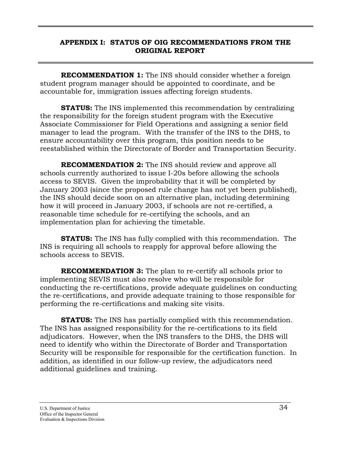#### **APPENDIX I: STATUS OF OIG RECOMMENDATIONS FROM THE ORIGINAL REPORT**

**RECOMMENDATION 1:** The INS should consider whether a foreign student program manager should be appointed to coordinate, and be accountable for, immigration issues affecting foreign students.

**STATUS:** The INS implemented this recommendation by centralizing the responsibility for the foreign student program with the Executive Associate Commissioner for Field Operations and assigning a senior field manager to lead the program. With the transfer of the INS to the DHS, to ensure accountability over this program, this position needs to be reestablished within the Directorate of Border and Transportation Security.

**RECOMMENDATION 2:** The INS should review and approve all schools currently authorized to issue I-20s before allowing the schools access to SEVIS. Given the improbability that it will be completed by January 2003 (since the proposed rule change has not yet been published), the INS should decide soon on an alternative plan, including determining how it will proceed in January 2003, if schools are not re-certified, a reasonable time schedule for re-certifying the schools, and an implementation plan for achieving the timetable.

**STATUS:** The INS has fully complied with this recommendation. The INS is requiring all schools to reapply for approval before allowing the schools access to SEVIS.

**RECOMMENDATION 3:** The plan to re-certify all schools prior to implementing SEVIS must also resolve who will be responsible for conducting the re-certifications, provide adequate guidelines on conducting the re-certifications, and provide adequate training to those responsible for performing the re-certifications and making site visits.

**STATUS:** The INS has partially complied with this recommendation. The INS has assigned responsibility for the re-certifications to its field adjudicators. However, when the INS transfers to the DHS, the DHS will need to identify who within the Directorate of Border and Transportation Security will be responsible for responsible for the certification function. In addition, as identified in our follow-up review, the adjudicators need additional guidelines and training.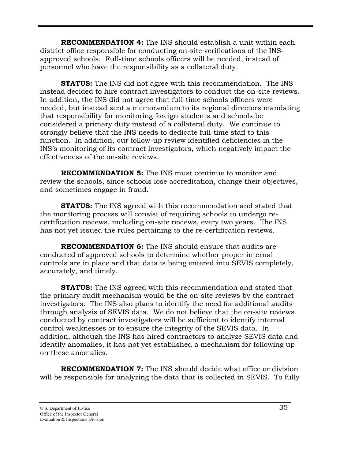**RECOMMENDATION 4:** The INS should establish a unit within each district office responsible for conducting on-site verifications of the INSapproved schools. Full-time schools officers will be needed, instead of personnel who have the responsibility as a collateral duty.

**STATUS:** The INS did not agree with this recommendation. The INS instead decided to hire contract investigators to conduct the on-site reviews. In addition, the INS did not agree that full-time schools officers were needed, but instead sent a memorandum to its regional directors mandating that responsibility for monitoring foreign students and schools be considered a primary duty instead of a collateral duty. We continue to strongly believe that the INS needs to dedicate full-time staff to this function. In addition, our follow-up review identified deficiencies in the INS's monitoring of its contract investigators, which negatively impact the effectiveness of the on-site reviews.

**RECOMMENDATION 5:** The INS must continue to monitor and review the schools, since schools lose accreditation, change their objectives, and sometimes engage in fraud.

**STATUS:** The INS agreed with this recommendation and stated that the monitoring process will consist of requiring schools to undergo recertification reviews, including on-site reviews, every two years. The INS has not yet issued the rules pertaining to the re-certification reviews.

**RECOMMENDATION 6:** The INS should ensure that audits are conducted of approved schools to determine whether proper internal controls are in place and that data is being entered into SEVIS completely, accurately, and timely.

**STATUS:** The INS agreed with this recommendation and stated that the primary audit mechanism would be the on-site reviews by the contract investigators. The INS also plans to identify the need for additional audits through analysis of SEVIS data. We do not believe that the on-site reviews conducted by contract investigators will be sufficient to identify internal control weaknesses or to ensure the integrity of the SEVIS data. In addition, although the INS has hired contractors to analyze SEVIS data and identify anomalies, it has not yet established a mechanism for following up on these anomalies.

**RECOMMENDATION 7:** The INS should decide what office or division will be responsible for analyzing the data that is collected in SEVIS. To fully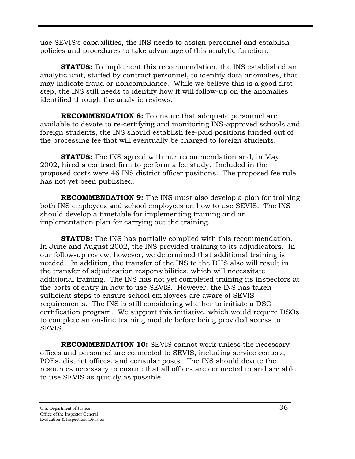use SEVIS's capabilities, the INS needs to assign personnel and establish policies and procedures to take advantage of this analytic function.

**STATUS:** To implement this recommendation, the INS established an analytic unit, staffed by contract personnel, to identify data anomalies, that may indicate fraud or noncompliance. While we believe this is a good first step, the INS still needs to identify how it will follow-up on the anomalies identified through the analytic reviews.

**RECOMMENDATION 8:** To ensure that adequate personnel are available to devote to re-certifying and monitoring INS-approved schools and foreign students, the INS should establish fee-paid positions funded out of the processing fee that will eventually be charged to foreign students.

**STATUS:** The INS agreed with our recommendation and, in May 2002, hired a contract firm to perform a fee study. Included in the proposed costs were 46 INS district officer positions. The proposed fee rule has not yet been published.

**RECOMMENDATION 9:** The INS must also develop a plan for training both INS employees and school employees on how to use SEVIS. The INS should develop a timetable for implementing training and an implementation plan for carrying out the training.

**STATUS:** The INS has partially complied with this recommendation. In June and August 2002, the INS provided training to its adjudicators. In our follow-up review, however, we determined that additional training is needed. In addition, the transfer of the INS to the DHS also will result in the transfer of adjudication responsibilities, which will necessitate additional training. The INS has not yet completed training its inspectors at the ports of entry in how to use SEVIS. However, the INS has taken sufficient steps to ensure school employees are aware of SEVIS requirements. The INS is still considering whether to initiate a DSO certification program. We support this initiative, which would require DSOs to complete an on-line training module before being provided access to SEVIS.

**RECOMMENDATION 10:** SEVIS cannot work unless the necessary offices and personnel are connected to SEVIS, including service centers, POEs, district offices, and consular posts. The INS should devote the resources necessary to ensure that all offices are connected to and are able to use SEVIS as quickly as possible.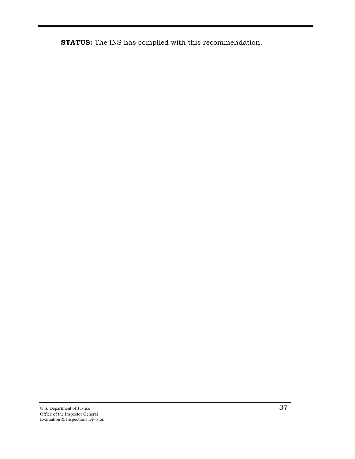**STATUS:** The INS has complied with this recommendation.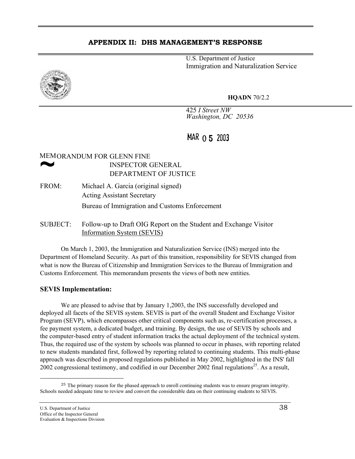#### **APPENDIX II: DHS MANAGEMENT'S RESPONSE**

U.S. Department of Justice Immigration and Naturalization Service



**HQADN** 70/2.2

425 *I Street NW Washington, DC 20536* 

## MAR 0 5 2003

# MEMORANDUM FOR GLENN FINE<br>
MSPECTOR GENERAL<br>
DEPARTMENT OF JUSTICE INSPECTOR GENERAL

- FROM: Michael A. Garcia (original signed) Acting Assistant Secretary Bureau of Immigration and Customs Enforcement
- SUBJECT: Follow-up to Draft OIG Report on the Student and Exchange Visitor Information System (SEVIS)

On March 1, 2003, the Immigration and Naturalization Service (INS) merged into the Department of Homeland Security. As part of this transition, responsibility for SEVIS changed from what is now the Bureau of Citizenship and Immigration Services to the Bureau of Immigration and Customs Enforcement. This memorandum presents the views of both new entities.

#### **SEVIS Implementation:**

We are pleased to advise that by January 1,2003, the INS successfully developed and deployed all facets of the SEVIS system. SEVIS is part of the overall Student and Exchange Visitor Program (SEVP), which encompasses other critical components such as, re-certification processes, a fee payment system, a dedicated budget, and training. By design, the use of SEVIS by schools and the computer-based entry of student information tracks the actual deployment of the technical system. Thus, the required use of the system by schools was planned to occur in phases, with reporting related to new students mandated first, followed by reporting related to continuing students. This multi-phase approach was described in proposed regulations published in May 2002, highlighted in the INS' fall 2002 congressional testimony, and codified in our December 2002 final regulations<sup>25</sup>. As a result,

 $\overline{a}$ 

<span id="page-46-0"></span><sup>&</sup>lt;sup>25</sup> The primary reason for the phased approach to enroll continuing students was to ensure program integrity. Schools needed adequate time to review and convert the considerable data on their continuing students to SEVIS.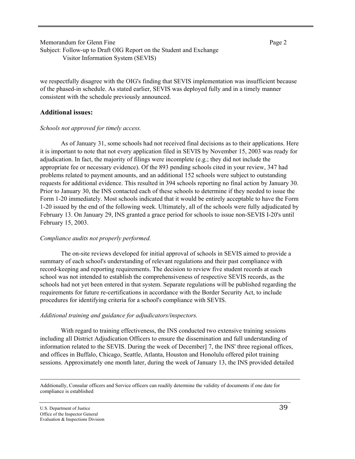Memorandum for Glenn Fine **Page 2** Page 2 Subject: Follow-up to Draft OIG Report on the Student and Exchange Visitor Information System (SEVIS)

we respectfully disagree with the OIG's finding that SEVIS implementation was insufficient because of the phased-in schedule. As stated earlier, SEVIS was deployed fully and in a timely manner consistent with the schedule previously announced.

#### **Additional issues:**

#### *Schools not approved for timely access.*

As of January 31, some schools had not received final decisions as to their applications. Here it is important to note that not every application filed in SEVIS by November 15, 2003 was ready for adjudication. In fact, the majority of filings were incomplete (e.g.; they did not include the appropriate fee or necessary evidence). Of the 893 pending schools cited in your review, 347 had problems related to payment amounts, and an additional 152 schools were subject to outstanding requests for additional evidence. This resulted in 394 schools reporting no final action by January 30. Prior to January 30, the INS contacted each of these schools to determine if they needed to issue the Form 1-20 immediately. Most schools indicated that it would be entirely acceptable to have the Form 1-20 issued by the end of the following week. Ultimately, all of the schools were fully adjudicated by February 13. On January 29, INS granted a grace period for schools to issue non-SEVIS I-20's until February 15, 2003.

#### *Compliance audits not properly performed.*

The on-site reviews developed for initial approval of schools in SEVIS aimed to provide a summary of each school's understanding of relevant regulations and their past compliance with record-keeping and reporting requirements. The decision to review five student records at each school was not intended to establish the comprehensiveness of respective SEVIS records, as the schools had not yet been entered in that system. Separate regulations will be published regarding the requirements for future re-certifications in accordance with the Border Security Act, to include procedures for identifying criteria for a school's compliance with SEVIS.

#### *Additional training and guidance for adjudicators/inspectors.*

With regard to training effectiveness, the INS conducted two extensive training sessions including all District Adjudication Officers to ensure the dissemination and full understanding of information related to the SEVIS. During the week of December] 7, the INS' three regional offices, and offices in Buffalo, Chicago, Seattle, Atlanta, Houston and Honolulu offered pilot training sessions. Approximately one month later, during the week of January 13, the INS provided detailed

Additionally, Consular officers and Service officers can readily determine the validity of documents if one date for compliance is established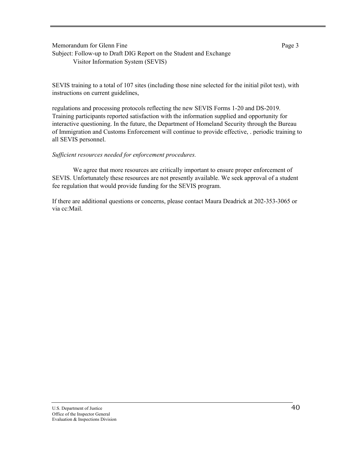Memorandum for Glenn Fine **Page 3** Subject: Follow-up to Draft DIG Report on the Student and Exchange Visitor Information System (SEVIS)

SEVIS training to a total of 107 sites (including those nine selected for the initial pilot test), with instructions on current guidelines,

regulations and processing protocols reflecting the new SEVIS Forms 1-20 and DS-2019. Training participants reported satisfaction with the information supplied and opportunity for interactive questioning. In the future, the Department of Homeland Security through the Bureau of Immigration and Customs Enforcement will continue to provide effective, . periodic training to all SEVIS personnel.

#### *Sufficient resources needed for enforcement procedures.*

We agree that more resources are critically important to ensure proper enforcement of SEVIS. Unfortunately these resources are not presently available. We seek approval of a student fee regulation that would provide funding for the SEVIS program.

If there are additional questions or concerns, please contact Maura Deadrick at 202-353-3065 or via cc:Mail.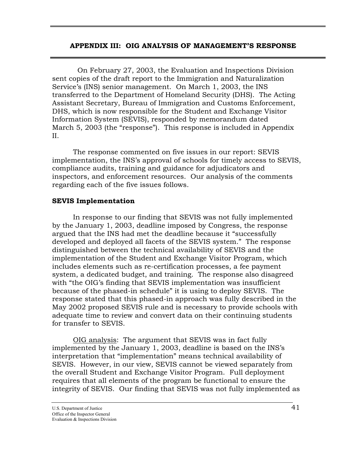#### **APPENDIX III: OIG ANALYSIS OF MANAGEMENT'S RESPONSE**

 On February 27, 2003, the Evaluation and Inspections Division sent copies of the draft report to the Immigration and Naturalization Service's (INS) senior management. On March 1, 2003, the INS transferred to the Department of Homeland Security (DHS). The Acting Assistant Secretary, Bureau of Immigration and Customs Enforcement, DHS, which is now responsible for the Student and Exchange Visitor Information System (SEVIS), responded by memorandum dated March 5, 2003 (the "response"). This response is included in Appendix II.

The response commented on five issues in our report: SEVIS implementation, the INS's approval of schools for timely access to SEVIS, compliance audits, training and guidance for adjudicators and inspectors, and enforcement resources. Our analysis of the comments regarding each of the five issues follows.

#### **SEVIS Implementation**

In response to our finding that SEVIS was not fully implemented by the January 1, 2003, deadline imposed by Congress, the response argued that the INS had met the deadline because it "successfully developed and deployed all facets of the SEVIS system." The response distinguished between the technical availability of SEVIS and the implementation of the Student and Exchange Visitor Program, which includes elements such as re-certification processes, a fee payment system, a dedicated budget, and training. The response also disagreed with "the OIG's finding that SEVIS implementation was insufficient because of the phased-in schedule" it is using to deploy SEVIS. The response stated that this phased-in approach was fully described in the May 2002 proposed SEVIS rule and is necessary to provide schools with adequate time to review and convert data on their continuing students for transfer to SEVIS.

OIG analysis: The argument that SEVIS was in fact fully implemented by the January 1, 2003, deadline is based on the INS's interpretation that "implementation" means technical availability of SEVIS. However, in our view, SEVIS cannot be viewed separately from the overall Student and Exchange Visitor Program. Full deployment requires that all elements of the program be functional to ensure the integrity of SEVIS. Our finding that SEVIS was not fully implemented as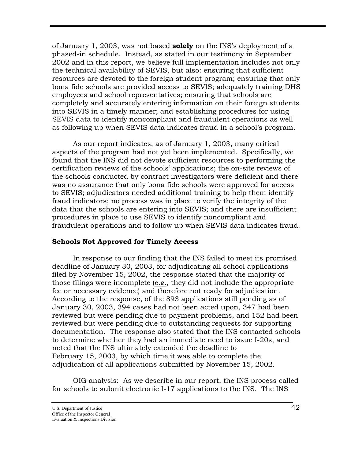of January 1, 2003, was not based **solely** on the INS's deployment of a phased-in schedule. Instead, as stated in our testimony in September 2002 and in this report, we believe full implementation includes not only the technical availability of SEVIS, but also: ensuring that sufficient resources are devoted to the foreign student program; ensuring that only bona fide schools are provided access to SEVIS; adequately training DHS employees and school representatives; ensuring that schools are completely and accurately entering information on their foreign students into SEVIS in a timely manner; and establishing procedures for using SEVIS data to identify noncompliant and fraudulent operations as well as following up when SEVIS data indicates fraud in a school's program.

As our report indicates, as of January 1, 2003, many critical aspects of the program had not yet been implemented. Specifically, we found that the INS did not devote sufficient resources to performing the certification reviews of the schools' applications; the on-site reviews of the schools conducted by contract investigators were deficient and there was no assurance that only bona fide schools were approved for access to SEVIS; adjudicators needed additional training to help them identify fraud indicators; no process was in place to verify the integrity of the data that the schools are entering into SEVIS; and there are insufficient procedures in place to use SEVIS to identify noncompliant and fraudulent operations and to follow up when SEVIS data indicates fraud.

#### **Schools Not Approved for Timely Access**

In response to our finding that the INS failed to meet its promised deadline of January 30, 2003, for adjudicating all school applications filed by November 15, 2002, the response stated that the majority of those filings were incomplete (e.g., they did not include the appropriate fee or necessary evidence) and therefore not ready for adjudication. According to the response, of the 893 applications still pending as of January 30, 2003, 394 cases had not been acted upon, 347 had been reviewed but were pending due to payment problems, and 152 had been reviewed but were pending due to outstanding requests for supporting documentation. The response also stated that the INS contacted schools to determine whether they had an immediate need to issue I-20s, and noted that the INS ultimately extended the deadline to February 15, 2003, by which time it was able to complete the adjudication of all applications submitted by November 15, 2002.

OIG analysis: As we describe in our report, the INS process called for schools to submit electronic I-17 applications to the INS. The INS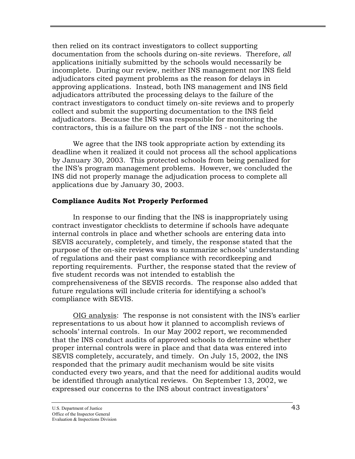then relied on its contract investigators to collect supporting documentation from the schools during on-site reviews. Therefore, *all* applications initially submitted by the schools would necessarily be incomplete. During our review, neither INS management nor INS field adjudicators cited payment problems as the reason for delays in approving applications. Instead, both INS management and INS field adjudicators attributed the processing delays to the failure of the contract investigators to conduct timely on-site reviews and to properly collect and submit the supporting documentation to the INS field adjudicators. Because the INS was responsible for monitoring the contractors, this is a failure on the part of the INS - not the schools.

We agree that the INS took appropriate action by extending its deadline when it realized it could not process all the school applications by January 30, 2003. This protected schools from being penalized for the INS's program management problems. However, we concluded the INS did not properly manage the adjudication process to complete all applications due by January 30, 2003.

#### **Compliance Audits Not Properly Performed**

In response to our finding that the INS is inappropriately using contract investigator checklists to determine if schools have adequate internal controls in place and whether schools are entering data into SEVIS accurately, completely, and timely, the response stated that the purpose of the on-site reviews was to summarize schools' understanding of regulations and their past compliance with recordkeeping and reporting requirements. Further, the response stated that the review of five student records was not intended to establish the comprehensiveness of the SEVIS records. The response also added that future regulations will include criteria for identifying a school's compliance with SEVIS.

OIG analysis: The response is not consistent with the INS's earlier representations to us about how it planned to accomplish reviews of schools' internal controls. In our May 2002 report, we recommended that the INS conduct audits of approved schools to determine whether proper internal controls were in place and that data was entered into SEVIS completely, accurately, and timely. On July 15, 2002, the INS responded that the primary audit mechanism would be site visits conducted every two years, and that the need for additional audits would be identified through analytical reviews. On September 13, 2002, we expressed our concerns to the INS about contract investigators'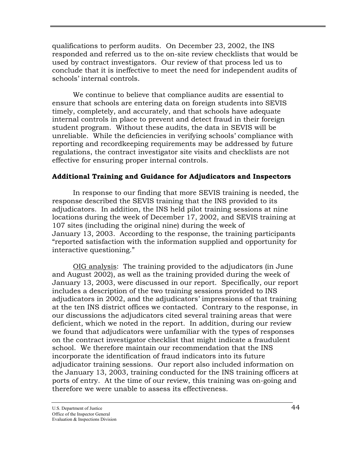qualifications to perform audits. On December 23, 2002, the INS responded and referred us to the on-site review checklists that would be used by contract investigators. Our review of that process led us to conclude that it is ineffective to meet the need for independent audits of schools' internal controls.

We continue to believe that compliance audits are essential to ensure that schools are entering data on foreign students into SEVIS timely, completely, and accurately, and that schools have adequate internal controls in place to prevent and detect fraud in their foreign student program. Without these audits, the data in SEVIS will be unreliable. While the deficiencies in verifying schools' compliance with reporting and recordkeeping requirements may be addressed by future regulations, the contract investigator site visits and checklists are not effective for ensuring proper internal controls.

#### **Additional Training and Guidance for Adjudicators and Inspectors**

In response to our finding that more SEVIS training is needed, the response described the SEVIS training that the INS provided to its adjudicators. In addition, the INS held pilot training sessions at nine locations during the week of December 17, 2002, and SEVIS training at 107 sites (including the original nine) during the week of January 13, 2003. According to the response, the training participants "reported satisfaction with the information supplied and opportunity for interactive questioning."

OIG analysis: The training provided to the adjudicators (in June and August 2002), as well as the training provided during the week of January 13, 2003, were discussed in our report. Specifically, our report includes a description of the two training sessions provided to INS adjudicators in 2002, and the adjudicators' impressions of that training at the ten INS district offices we contacted. Contrary to the response, in our discussions the adjudicators cited several training areas that were deficient, which we noted in the report. In addition, during our review we found that adjudicators were unfamiliar with the types of responses on the contract investigator checklist that might indicate a fraudulent school. We therefore maintain our recommendation that the INS incorporate the identification of fraud indicators into its future adjudicator training sessions. Our report also included information on the January 13, 2003, training conducted for the INS training officers at ports of entry. At the time of our review, this training was on-going and therefore we were unable to assess its effectiveness.